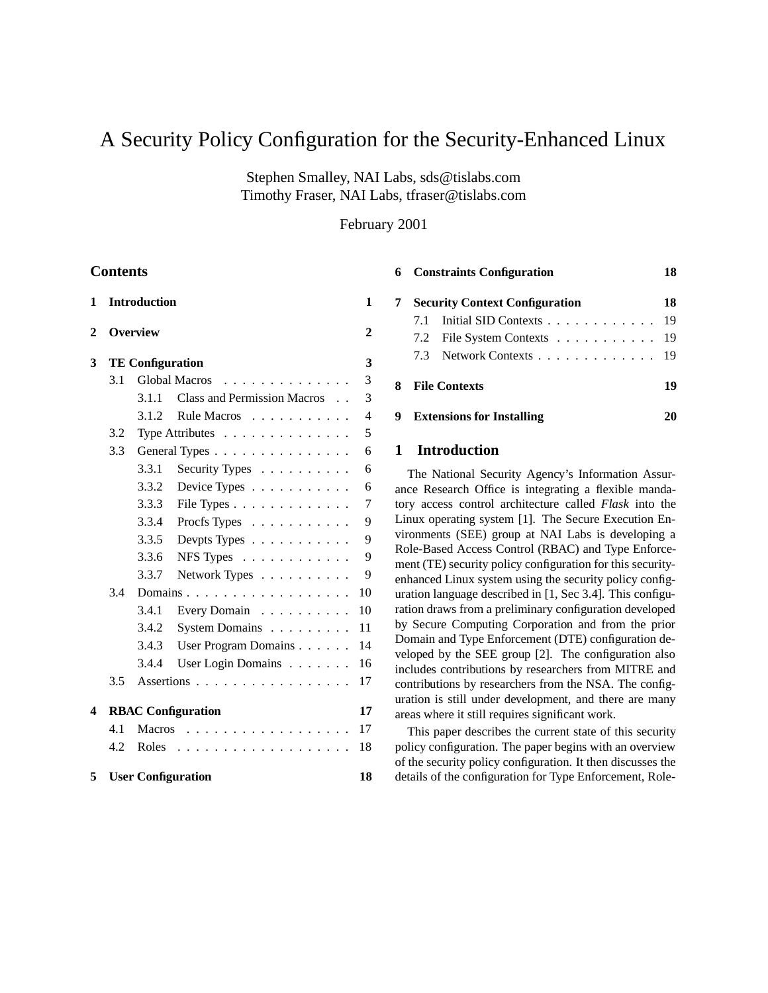# A Security Policy Configuration for the Security-Enhanced Linux

Stephen Smalley, NAI Labs, sds@tislabs.com Timothy Fraser, NAI Labs, tfraser@tislabs.com

February 2001

# **Contents**

| 1            |                           | <b>Introduction</b>    |                                           | 1              |  |
|--------------|---------------------------|------------------------|-------------------------------------------|----------------|--|
| $\mathbf{2}$ | <b>Overview</b>           |                        |                                           |                |  |
| 3            | <b>TE Configuration</b>   |                        |                                           |                |  |
|              | 3.1                       | <b>Global Macros</b>   |                                           | 3              |  |
|              |                           | 3.1.1                  | <b>Class and Permission Macros</b>        | 3              |  |
|              |                           | 3.1.2                  | Rule Macros                               | $\overline{4}$ |  |
|              | 3.2                       |                        | Type Attributes $\dots \dots \dots \dots$ | 5              |  |
|              | 3.3                       | General Types $\ldots$ |                                           |                |  |
|              |                           | 3.3.1                  | Security Types                            | 6              |  |
|              |                           | 3.3.2                  | Device Types $\dots \dots \dots$          | 6              |  |
|              |                           | 3.3.3                  | File Types                                | 7              |  |
|              |                           | 3.3.4                  | Procfs Types                              | 9              |  |
|              |                           | 3.3.5                  | Devpts Types $\dots \dots \dots$          | 9              |  |
|              |                           | 3.3.6                  | NFS Types $\ldots$                        | 9              |  |
|              |                           | 3.3.7                  | Network Types                             | 9              |  |
|              | 3.4<br>Domains            |                        |                                           |                |  |
|              |                           | 3.4.1                  | Every Domain                              | 10             |  |
|              |                           | 3.4.2                  | System Domains                            | 11             |  |
|              |                           | 3.4.3                  | User Program Domains                      | 14             |  |
|              |                           | 3.4.4                  | User Login Domains                        | 16             |  |
|              | 3.5                       |                        | Assertions                                | 17             |  |
| 4            | <b>RBAC</b> Configuration |                        |                                           |                |  |
|              | 4.1                       | <b>Macros</b>          | .                                         | 17             |  |
|              | 4.2                       | Roles                  | .<br>$\mathbb{R}^n$<br><b>Service</b>     | 18             |  |
| 5            |                           |                        | <b>User Configuration</b>                 | 18             |  |

|   | <b>6</b> Constraints Configuration<br><b>Security Context Configuration</b> |                             |  |  |  |
|---|-----------------------------------------------------------------------------|-----------------------------|--|--|--|
| 7 |                                                                             |                             |  |  |  |
|   |                                                                             | 7.1 Initial SID Contexts 19 |  |  |  |
|   |                                                                             | 7.2 File System Contexts 19 |  |  |  |
|   |                                                                             | 7.3 Network Contexts 19     |  |  |  |
|   | <b>8</b> File Contexts                                                      |                             |  |  |  |
|   | <b>9</b> Extensions for Installing                                          |                             |  |  |  |

# **1 Introduction**

The National Security Agency's Information Assurance Research Office is integrating a flexible mandatory access control architecture called *Flask* into the Linux operating system [1]. The Secure Execution Environments (SEE) group at NAI Labs is developing a Role-Based Access Control (RBAC) and Type Enforcement (TE) security policy configuration for this securityenhanced Linux system using the security policy configuration language described in [1, Sec 3.4]. This configuration draws from a preliminary configuration developed by Secure Computing Corporation and from the prior Domain and Type Enforcement (DTE) configuration developed by the SEE group [2]. The configuration also includes contributions by researchers from MITRE and contributions by researchers from the NSA. The configuration is still under development, and there are many areas where it still requires significant work.

This paper describes the current state of this security policy configuration. The paper begins with an overview of the security policy configuration. It then discusses the details of the configuration for Type Enforcement, Role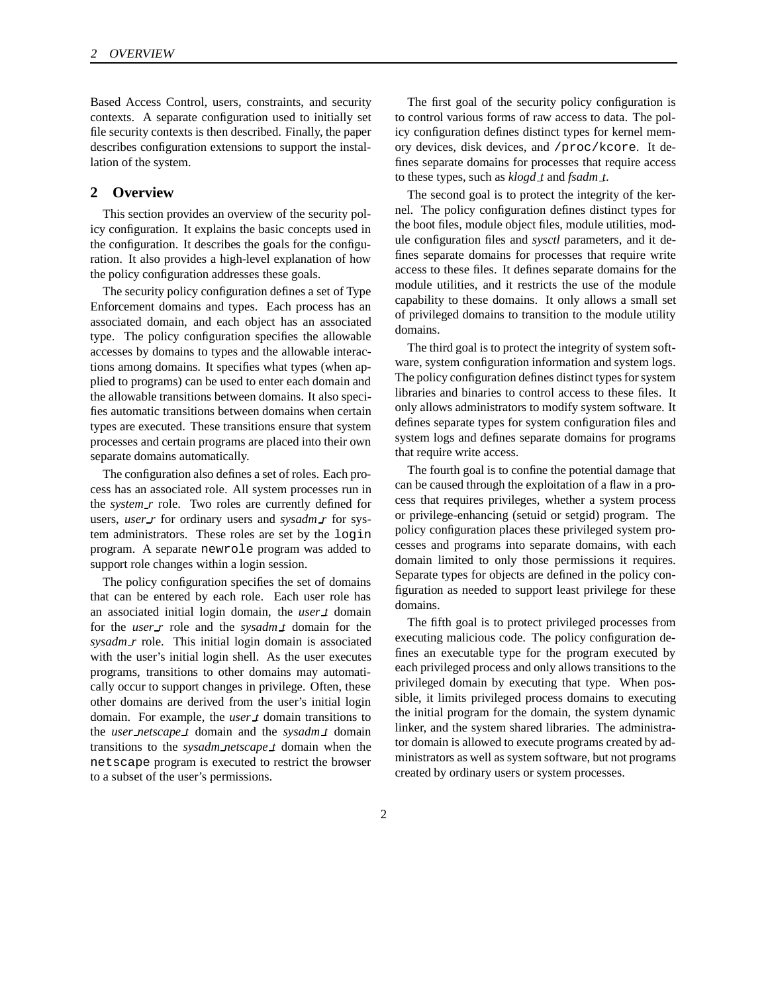Based Access Control, users, constraints, and security contexts. A separate configuration used to initially set file security contexts is then described. Finally, the paper describes configuration extensions to support the installation of the system.

# **2 Overview**

This section provides an overview of the security policy configuration. It explains the basic concepts used in the configuration. It describes the goals for the configuration. It also provides a high-level explanation of how the policy configuration addresses these goals.

The security policy configuration defines a set of Type Enforcement domains and types. Each process has an associated domain, and each object has an associated type. The policy configuration specifies the allowable accesses by domains to types and the allowable interactions among domains. It specifies what types (when applied to programs) can be used to enter each domain and the allowable transitions between domains. It also specifies automatic transitions between domains when certain types are executed. These transitions ensure that system processes and certain programs are placed into their own separate domains automatically.

The configuration also defines a set of roles. Each process has an associated role. All system processes run in the *system\_r* role. Two roles are currently defined for users, *user r* for ordinary users and *sysadm r* for system administrators. These roles are set by the login program. A separate newrole program was added to support role changes within a login session.

The policy configuration specifies the set of domains that can be entered by each role. Each user role has an associated initial login domain, the *user t* domain for the *user r* role and the *sysadm t* domain for the *sysadm r* role. This initial login domain is associated with the user's initial login shell. As the user executes programs, transitions to other domains may automatically occur to support changes in privilege. Often, these other domains are derived from the user's initial login domain. For example, the *user t* domain transitions to the *user netscape t* domain and the *sysadm t* domain transitions to the *sysadm netscape t* domain when the netscape program is executed to restrict the browser to a subset of the user's permissions.

The first goal of the security policy configuration is to control various forms of raw access to data. The policy configuration defines distinct types for kernel memory devices, disk devices, and /proc/kcore. It defines separate domains for processes that require access to these types, such as *klogd t* and *fsadm t*.

The second goal is to protect the integrity of the kernel. The policy configuration defines distinct types for the boot files, module object files, module utilities, module configuration files and *sysctl* parameters, and it defines separate domains for processes that require write access to these files. It defines separate domains for the module utilities, and it restricts the use of the module capability to these domains. It only allows a small set of privileged domains to transition to the module utility domains.

The third goal is to protect the integrity of system software, system configuration information and system logs. The policy configuration defines distinct types for system libraries and binaries to control access to these files. It only allows administrators to modify system software. It defines separate types for system configuration files and system logs and defines separate domains for programs that require write access.

The fourth goal is to confine the potential damage that can be caused through the exploitation of a flaw in a process that requires privileges, whether a system process or privilege-enhancing (setuid or setgid) program. The policy configuration places these privileged system processes and programs into separate domains, with each domain limited to only those permissions it requires. Separate types for objects are defined in the policy configuration as needed to support least privilege for these domains.

The fifth goal is to protect privileged processes from executing malicious code. The policy configuration defines an executable type for the program executed by each privileged process and only allows transitions to the privileged domain by executing that type. When possible, it limits privileged process domains to executing the initial program for the domain, the system dynamic linker, and the system shared libraries. The administrator domain is allowed to execute programs created by administrators as well as system software, but not programs created by ordinary users or system processes.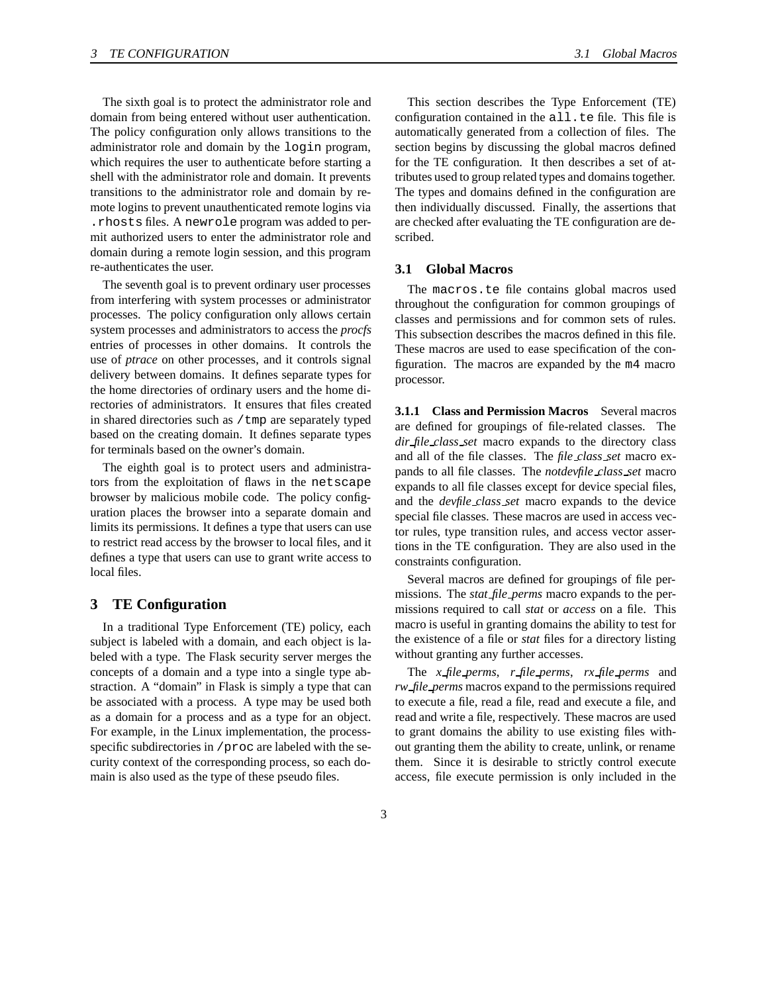The sixth goal is to protect the administrator role and domain from being entered without user authentication. The policy configuration only allows transitions to the administrator role and domain by the login program, which requires the user to authenticate before starting a shell with the administrator role and domain. It prevents transitions to the administrator role and domain by remote logins to prevent unauthenticated remote logins via .rhosts files. A newrole program was added to permit authorized users to enter the administrator role and domain during a remote login session, and this program re-authenticates the user.

The seventh goal is to prevent ordinary user processes from interfering with system processes or administrator processes. The policy configuration only allows certain system processes and administrators to access the *procfs* entries of processes in other domains. It controls the use of *ptrace* on other processes, and it controls signal delivery between domains. It defines separate types for the home directories of ordinary users and the home directories of administrators. It ensures that files created in shared directories such as /tmp are separately typed based on the creating domain. It defines separate types for terminals based on the owner's domain.

The eighth goal is to protect users and administrators from the exploitation of flaws in the netscape browser by malicious mobile code. The policy configuration places the browser into a separate domain and limits its permissions. It defines a type that users can use to restrict read access by the browser to local files, and it defines a type that users can use to grant write access to local files.

# **3 TE Configuration**

In a traditional Type Enforcement (TE) policy, each subject is labeled with a domain, and each object is labeled with a type. The Flask security server merges the concepts of a domain and a type into a single type abstraction. A "domain" in Flask is simply a type that can be associated with a process. A type may be used both as a domain for a process and as a type for an object. For example, in the Linux implementation, the processspecific subdirectories in /proc are labeled with the security context of the corresponding process, so each domain is also used as the type of these pseudo files.

This section describes the Type Enforcement (TE) configuration contained in the all.te file. This file is automatically generated from a collection of files. The section begins by discussing the global macros defined for the TE configuration. It then describes a set of attributes used to group related types and domainstogether. The types and domains defined in the configuration are then individually discussed. Finally, the assertions that are checked after evaluating the TE configuration are described.

# **3.1 Global Macros**

The macros.te file contains global macros used throughout the configuration for common groupings of classes and permissions and for common sets of rules. This subsection describes the macros defined in this file. These macros are used to ease specification of the configuration. The macros are expanded by the m4 macro processor.

**3.1.1 Class and Permission Macros** Several macros are defined for groupings of file-related classes. The *dir file class set* macro expands to the directory class and all of the file classes. The *file class set* macro expands to all file classes. The *notdevfile class set* macro expands to all file classes except for device special files, and the *devfile class set* macro expands to the device special file classes. These macros are used in access vector rules, type transition rules, and access vector assertions in the TE configuration. They are also used in the constraints configuration.

Several macros are defined for groupings of file permissions. The *stat file perms* macro expands to the permissions required to call *stat* or *access* on a file. This macro is useful in granting domains the ability to test for the existence of a file or *stat* files for a directory listing without granting any further accesses.

The *x file perms*, *r file perms*, *rx file perms* and *rw file perms* macros expand to the permissions required to execute a file, read a file, read and execute a file, and read and write a file, respectively. These macros are used to grant domains the ability to use existing files without granting them the ability to create, unlink, or rename them. Since it is desirable to strictly control execute access, file execute permission is only included in the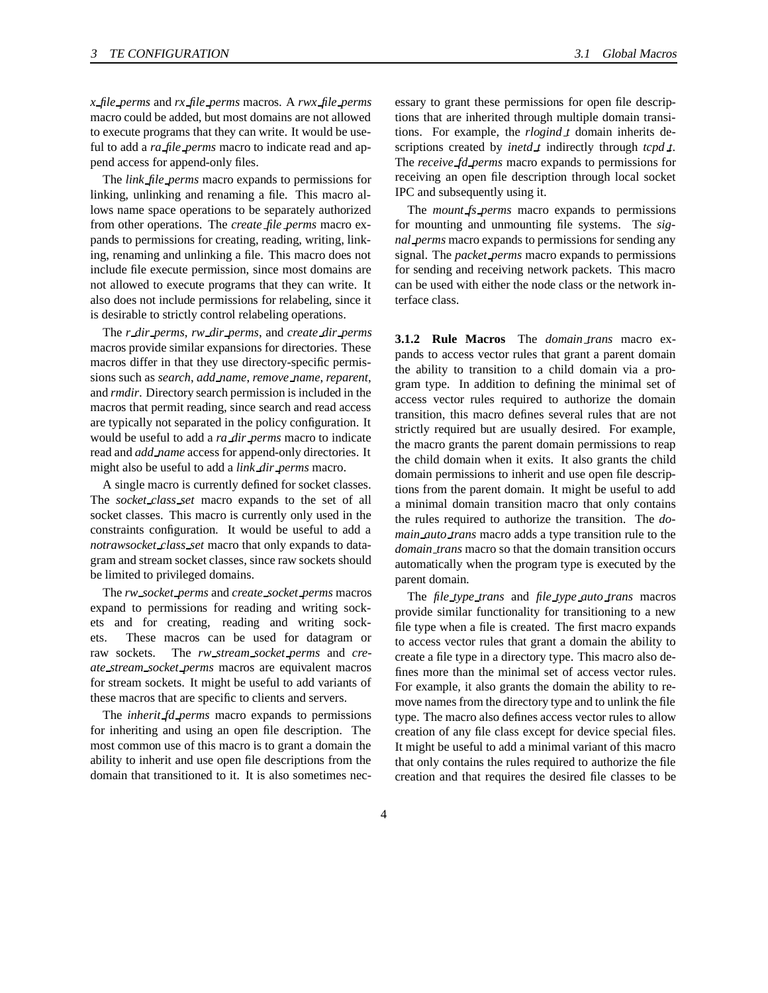*x file perms* and *rx file perms* macros. A *rwx file perms* macro could be added, but most domains are not allowed to execute programs that they can write. It would be useful to add a *ra file perms* macro to indicate read and append access for append-only files.

The *link file perms* macro expands to permissions for linking, unlinking and renaming a file. This macro allows name space operations to be separately authorized from other operations. The *create file perms* macro expands to permissions for creating, reading, writing, linking, renaming and unlinking a file. This macro does not include file execute permission, since most domains are not allowed to execute programs that they can write. It also does not include permissions for relabeling, since it is desirable to strictly control relabeling operations.

The *r dir perms*, *rw dir perms*, and *create dir perms* macros provide similar expansions for directories. These macros differ in that they use directory-specific permissions such as *search*, *add name*, *remove name*, *reparent*, and *rmdir*. Directory search permission is included in the macros that permit reading, since search and read access are typically not separated in the policy configuration. It would be useful to add a *ra dir perms* macro to indicate read and *add name* access for append-only directories. It might also be useful to add a *link dir perms* macro.

A single macro is currently defined for socket classes. The *socket class set* macro expands to the set of all socket classes. This macro is currently only used in the constraints configuration. It would be useful to add a *notrawsocket class set* macro that only expands to datagram and stream socket classes, since raw sockets should be limited to privileged domains.

The *rw socket perms* and *create socket perms* macros expand to permissions for reading and writing sockets and for creating, reading and writing sockets. These macros can be used for datagram or raw sockets. The *rw stream socket perms* and *create stream socket perms* macros are equivalent macros for stream sockets. It might be useful to add variants of these macros that are specific to clients and servers.

The *inherit fd perms* macro expands to permissions for inheriting and using an open file description. The most common use of this macro is to grant a domain the ability to inherit and use open file descriptions from the domain that transitioned to it. It is also sometimes necessary to grant these permissions for open file descriptions that are inherited through multiple domain transitions. For example, the *rlogind t* domain inherits descriptions created by *inetd t* indirectly through *tcpd t*. The *receive fd perms* macro expands to permissions for receiving an open file description through local socket IPC and subsequently using it.

The *mount fs perms* macro expands to permissions for mounting and unmounting file systems. The *signal perms* macro expands to permissions for sending any signal. The *packet perms* macro expands to permissions for sending and receiving network packets. This macro can be used with either the node class or the network interface class.

**3.1.2 Rule Macros** The *domain trans* macro expands to access vector rules that grant a parent domain the ability to transition to a child domain via a program type. In addition to defining the minimal set of access vector rules required to authorize the domain transition, this macro defines several rules that are not strictly required but are usually desired. For example, the macro grants the parent domain permissions to reap the child domain when it exits. It also grants the child domain permissions to inherit and use open file descriptions from the parent domain. It might be useful to add a minimal domain transition macro that only contains the rules required to authorize the transition. The *domain auto trans* macro adds a type transition rule to the *domain trans* macro so that the domain transition occurs automatically when the program type is executed by the parent domain.

The *file type trans* and *file type auto trans* macros provide similar functionality for transitioning to a new file type when a file is created. The first macro expands to access vector rules that grant a domain the ability to create a file type in a directory type. This macro also defines more than the minimal set of access vector rules. For example, it also grants the domain the ability to remove names from the directory type and to unlink the file type. The macro also defines access vector rules to allow creation of any file class except for device special files. It might be useful to add a minimal variant of this macro that only contains the rules required to authorize the file creation and that requires the desired file classes to be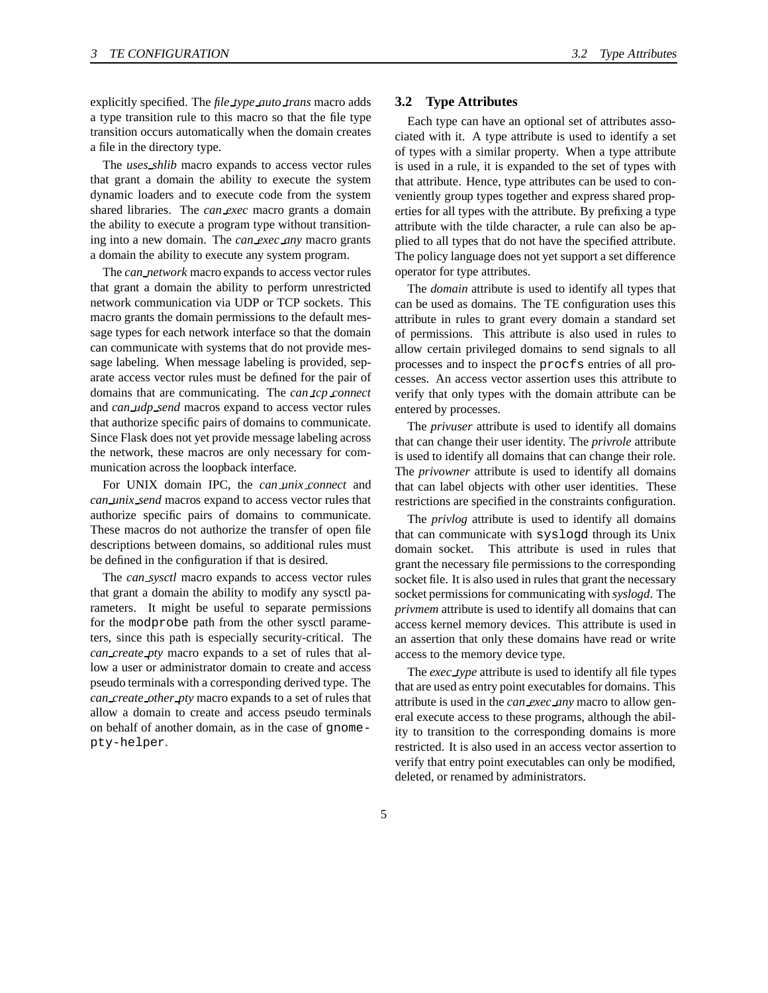explicitly specified. The *file type auto trans* macro adds a type transition rule to this macro so that the file type transition occurs automatically when the domain creates a file in the directory type.

The *uses shlib* macro expands to access vector rules that grant a domain the ability to execute the system dynamic loaders and to execute code from the system shared libraries. The *can exec* macro grants a domain the ability to execute a program type without transitioning into a new domain. The *can exec any* macro grants a domain the ability to execute any system program.

The *can network* macro expands to access vector rules that grant a domain the ability to perform unrestricted network communication via UDP or TCP sockets. This macro grants the domain permissions to the default message types for each network interface so that the domain can communicate with systems that do not provide message labeling. When message labeling is provided, separate access vector rules must be defined for the pair of domains that are communicating. The *can tcp connect* and *can udp send* macros expand to access vector rules that authorize specific pairs of domains to communicate. Since Flask does not yet provide message labeling across the network, these macros are only necessary for communication across the loopback interface.

For UNIX domain IPC, the *can unix connect* and *can unix send* macros expand to access vector rules that authorize specific pairs of domains to communicate. These macros do not authorize the transfer of open file descriptions between domains, so additional rules must be defined in the configuration if that is desired.

The *can sysctl* macro expands to access vector rules that grant a domain the ability to modify any sysctl parameters. It might be useful to separate permissions for the modprobe path from the other sysctl parameters, since this path is especially security-critical. The *can create pty* macro expands to a set of rules that allow a user or administrator domain to create and access pseudo terminals with a corresponding derived type. The *can create other pty* macro expands to a set of rules that allow a domain to create and access pseudo terminals on behalf of another domain, as in the case of gnomepty-helper.

#### **3.2 Type Attributes**

Each type can have an optional set of attributes associated with it. A type attribute is used to identify a set of types with a similar property. When a type attribute is used in a rule, it is expanded to the set of types with that attribute. Hence, type attributes can be used to conveniently group types together and express shared properties for all types with the attribute. By prefixing a type attribute with the tilde character, a rule can also be applied to all types that do not have the specified attribute. The policy language does not yet support a set difference operator for type attributes.

The *domain* attribute is used to identify all types that can be used as domains. The TE configuration uses this attribute in rules to grant every domain a standard set of permissions. This attribute is also used in rules to allow certain privileged domains to send signals to all processes and to inspect the procfs entries of all processes. An access vector assertion uses this attribute to verify that only types with the domain attribute can be entered by processes.

The *privuser* attribute is used to identify all domains that can change their user identity. The *privrole* attribute is used to identify all domains that can change their role. The *privowner* attribute is used to identify all domains that can label objects with other user identities. These restrictions are specified in the constraints configuration.

The *privlog* attribute is used to identify all domains that can communicate with syslogd through its Unix domain socket. This attribute is used in rules that grant the necessary file permissions to the corresponding socket file. It is also used in rules that grant the necessary socket permissions for communicating with *syslogd*. The *privmem* attribute is used to identify all domains that can access kernel memory devices. This attribute is used in an assertion that only these domains have read or write access to the memory device type.

The *exec type* attribute is used to identify all file types that are used as entry point executables for domains. This attribute is used in the *can exec any* macro to allow general execute access to these programs, although the ability to transition to the corresponding domains is more restricted. It is also used in an access vector assertion to verify that entry point executables can only be modified, deleted, or renamed by administrators.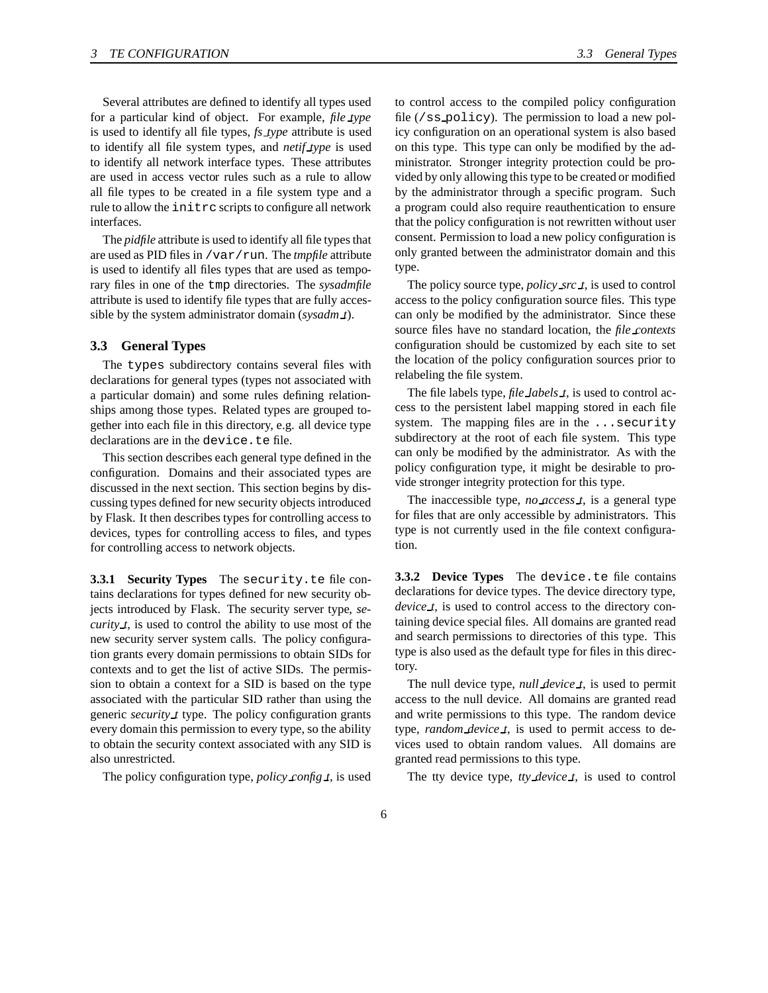Several attributes are defined to identify all types used for a particular kind of object. For example, *file type* is used to identify all file types, *fs type* attribute is used to identify all file system types, and *netif type* is used to identify all network interface types. These attributes are used in access vector rules such as a rule to allow all file types to be created in a file system type and a rule to allow the initrc scripts to configure all network interfaces.

The *pidfile* attribute is used to identify all file types that are used as PID files in /var/run. The *tmpfile* attribute is used to identify all files types that are used as temporary files in one of the tmp directories. The *sysadmfile* attribute is used to identify file types that are fully accessible by the system administrator domain (*sysadm t*).

#### **3.3 General Types**

The types subdirectory contains several files with declarations for general types (types not associated with a particular domain) and some rules defining relationships among those types. Related types are grouped together into each file in this directory, e.g. all device type declarations are in the device.te file.

This section describes each general type defined in the configuration. Domains and their associated types are discussed in the next section. This section begins by discussing types defined for new security objects introduced by Flask. It then describes types for controlling access to devices, types for controlling access to files, and types for controlling access to network objects.

**3.3.1 Security Types** The security.te file contains declarations for types defined for new security objects introduced by Flask. The security server type, *security t*, is used to control the ability to use most of the new security server system calls. The policy configuration grants every domain permissions to obtain SIDs for contexts and to get the list of active SIDs. The permission to obtain a context for a SID is based on the type associated with the particular SID rather than using the generic *security t* type. The policy configuration grants every domain this permission to every type, so the ability to obtain the security context associated with any SID is also unrestricted.

The policy configuration type, *policy config t*, is used

to control access to the compiled policy configuration file (/ss policy). The permission to load a new policy configuration on an operational system is also based on this type. This type can only be modified by the administrator. Stronger integrity protection could be provided by only allowing this type to be created or modified by the administrator through a specific program. Such a program could also require reauthentication to ensure that the policy configuration is not rewritten without user consent. Permission to load a new policy configuration is only granted between the administrator domain and this type.

The policy source type, *policy src t*, is used to control access to the policy configuration source files. This type can only be modified by the administrator. Since these source files have no standard location, the *file contexts* configuration should be customized by each site to set the location of the policy configuration sources prior to relabeling the file system.

The file labels type, *file labels t*, is used to control access to the persistent label mapping stored in each file system. The mapping files are in the ... security subdirectory at the root of each file system. This type can only be modified by the administrator. As with the policy configuration type, it might be desirable to provide stronger integrity protection for this type.

The inaccessible type, *no access t*, is a general type for files that are only accessible by administrators. This type is not currently used in the file context configuration.

**3.3.2 Device Types** The device.te file contains declarations for device types. The device directory type, *device t*, is used to control access to the directory containing device special files. All domains are granted read and search permissions to directories of this type. This type is also used as the default type for files in this directory.

The null device type, *null device t*, is used to permit access to the null device. All domains are granted read and write permissions to this type. The random device type, *random device t*, is used to permit access to devices used to obtain random values. All domains are granted read permissions to this type.

The tty device type, *tty device t*, is used to control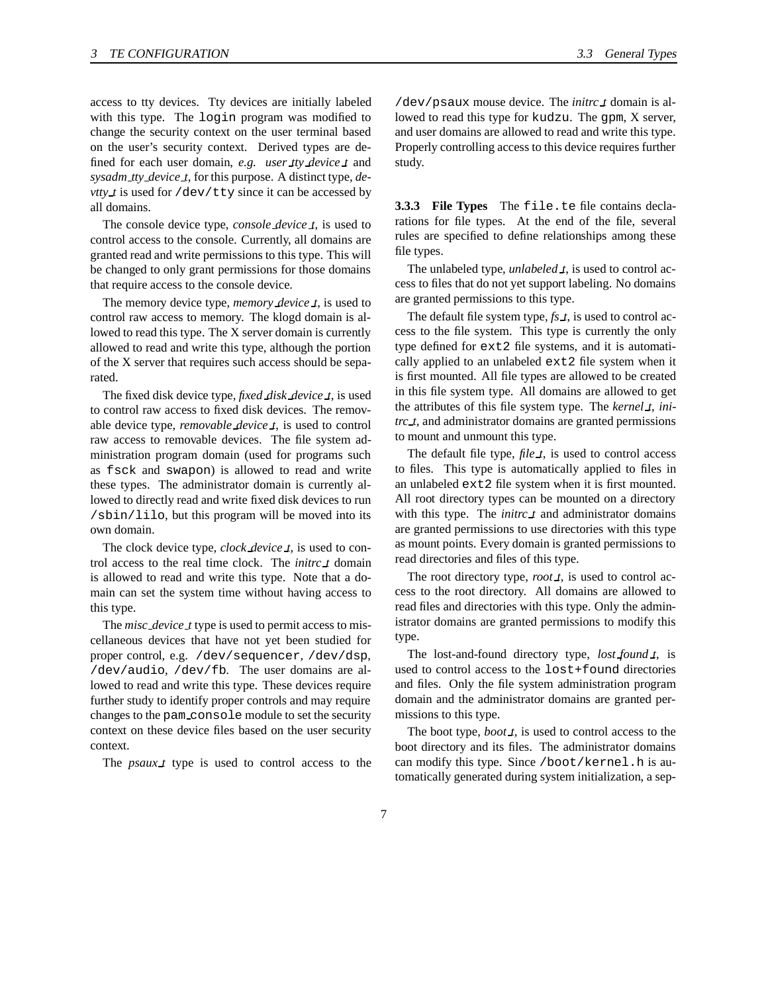access to tty devices. Tty devices are initially labeled with this type. The login program was modified to change the security context on the user terminal based on the user's security context. Derived types are defined for each user domain, *e.g. user tty device t* and *sysadm tty device t*, for this purpose. A distinct type, *devtty\_t* is used for /dev/tty since it can be accessed by all domains.

The console device type, *console device t*, is used to control access to the console. Currently, all domains are granted read and write permissions to this type. This will be changed to only grant permissions for those domains that require access to the console device.

The memory device type, *memory device t*, is used to control raw access to memory. The klogd domain is allowed to read this type. The X server domain is currently allowed to read and write this type, although the portion of the X server that requires such access should be separated.

The fixed disk device type, *fixed disk device t*, is used to control raw access to fixed disk devices. The removable device type, *removable device t*, is used to control raw access to removable devices. The file system administration program domain (used for programs such as fsck and swapon) is allowed to read and write these types. The administrator domain is currently allowed to directly read and write fixed disk devices to run /sbin/lilo, but this program will be moved into its own domain.

The clock device type, *clock device t*, is used to control access to the real time clock. The *initrc t* domain is allowed to read and write this type. Note that a domain can set the system time without having access to this type.

The *misc device t* type is used to permit access to miscellaneous devices that have not yet been studied for proper control, e.g. /dev/sequencer, /dev/dsp, /dev/audio, /dev/fb. The user domains are allowed to read and write this type. These devices require further study to identify proper controls and may require changes to the pam console module to set the security context on these device files based on the user security context.

The *psaux t* type is used to control access to the

/dev/psaux mouse device. The *initrc t* domain is allowed to read this type for kudzu. The gpm, X server, and user domains are allowed to read and write this type. Properly controlling access to this device requires further study.

**3.3.3 File Types** The file.te file contains declarations for file types. At the end of the file, several rules are specified to define relationships among these file types.

The unlabeled type, *unlabeled t*, is used to control access to files that do not yet support labeling. No domains are granted permissions to this type.

The default file system type, *fs t*, is used to control access to the file system. This type is currently the only type defined for ext2 file systems, and it is automatically applied to an unlabeled ext2 file system when it is first mounted. All file types are allowed to be created in this file system type. All domains are allowed to get the attributes of this file system type. The *kernel t*, *initrc t*, and administrator domains are granted permissions to mount and unmount this type.

The default file type, *file t*, is used to control access to files. This type is automatically applied to files in an unlabeled ext2 file system when it is first mounted. All root directory types can be mounted on a directory with this type. The *initrc t* and administrator domains are granted permissions to use directories with this type as mount points. Every domain is granted permissions to read directories and files of this type.

The root directory type, *root t*, is used to control access to the root directory. All domains are allowed to read files and directories with this type. Only the administrator domains are granted permissions to modify this type.

The lost-and-found directory type, *lost found t*, is used to control access to the lost+found directories and files. Only the file system administration program domain and the administrator domains are granted permissions to this type.

The boot type, *boot t*, is used to control access to the boot directory and its files. The administrator domains can modify this type. Since /boot/kernel.h is automatically generated during system initialization, a sep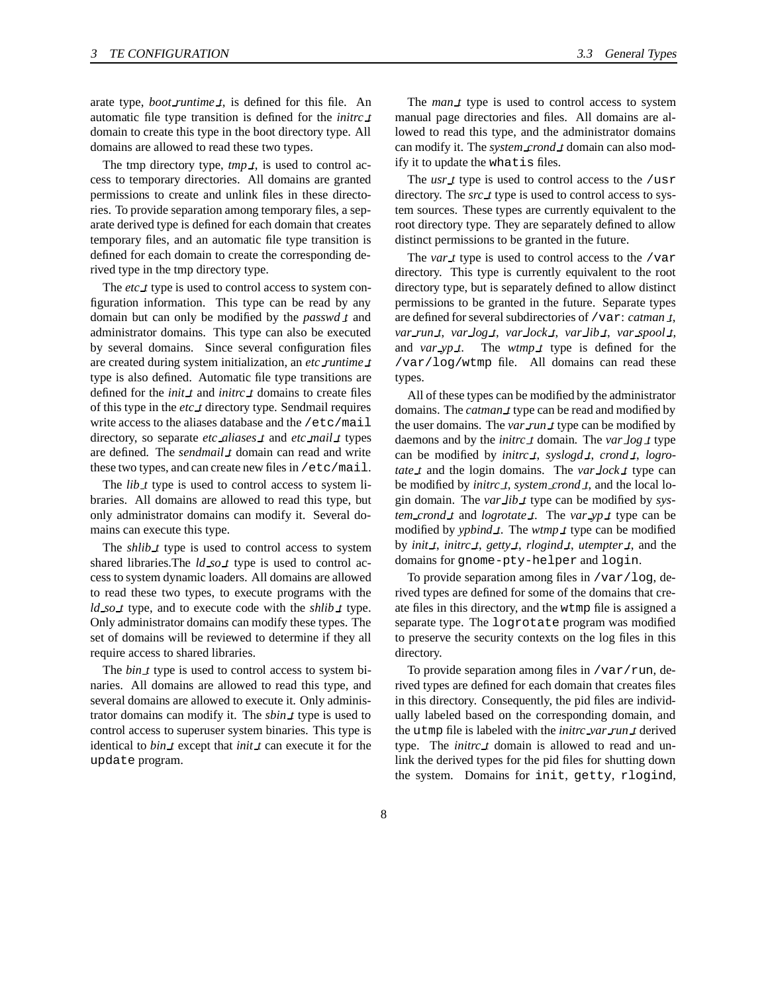arate type, *boot runtime t*, is defined for this file. An automatic file type transition is defined for the *initrc t* domain to create this type in the boot directory type. All domains are allowed to read these two types.

The tmp directory type, *tmp t*, is used to control access to temporary directories. All domains are granted permissions to create and unlink files in these directories. To provide separation among temporary files, a separate derived type is defined for each domain that creates temporary files, and an automatic file type transition is defined for each domain to create the corresponding derived type in the tmp directory type.

The *etc t* type is used to control access to system configuration information. This type can be read by any domain but can only be modified by the *passwd t* and administrator domains. This type can also be executed by several domains. Since several configuration files are created during system initialization, an *etc runtime t* type is also defined. Automatic file type transitions are defined for the *init t* and *initrc t* domains to create files of this type in the *etc t* directory type. Sendmail requires write access to the aliases database and the /etc/mail directory, so separate *etc aliases t* and *etc mail t* types are defined. The *sendmail t* domain can read and write these two types, and can create new files in /etc/mail.

The *lib t* type is used to control access to system libraries. All domains are allowed to read this type, but only administrator domains can modify it. Several domains can execute this type.

The *shlib t* type is used to control access to system shared libraries.The *ld so t* type is used to control access to system dynamic loaders. All domains are allowed to read these two types, to execute programs with the *ld so t* type, and to execute code with the *shlib t* type. Only administrator domains can modify these types. The set of domains will be reviewed to determine if they all require access to shared libraries.

The *bin t* type is used to control access to system binaries. All domains are allowed to read this type, and several domains are allowed to execute it. Only administrator domains can modify it. The *sbin t* type is used to control access to superuser system binaries. This type is identical to *bin t* except that *init t* can execute it for the update program.

The *man t* type is used to control access to system manual page directories and files. All domains are allowed to read this type, and the administrator domains can modify it. The *system crond t* domain can also modify it to update the whatis files.

The *usr t* type is used to control access to the /usr directory. The *src t* type is used to control access to system sources. These types are currently equivalent to the root directory type. They are separately defined to allow distinct permissions to be granted in the future.

The *var t* type is used to control access to the /var directory. This type is currently equivalent to the root directory type, but is separately defined to allow distinct permissions to be granted in the future. Separate types are defined for several subdirectories of /var: *catman t*, *var run t*, *var log t*, *var lock t*, *var lib t*, *var spool t*, and *var\_yp\_t*. The *wtmp\_t* type is defined for the /var/log/wtmp file. All domains can read these types.

All of these types can be modified by the administrator domains. The *catman t* type can be read and modified by the user domains. The *var run t* type can be modified by daemons and by the *initrc t* domain. The *var log t* type can be modified by *initrc t*, *syslogd t*, *crond t*, *logrotate t* and the login domains. The *var lock t* type can be modified by *initrc t*, *system crond t*, and the local login domain. The *var lib t* type can be modified by *system crond t* and *logrotate t*. The *var yp t* type can be modified by *ypbind t*. The *wtmp t* type can be modified by *init t*, *initrc t*, *getty t*, *rlogind t*, *utempter t*, and the domains for gnome-pty-helper and login.

To provide separation among files in /var/log, derived types are defined for some of the domains that create files in this directory, and the wtmp file is assigned a separate type. The logrotate program was modified to preserve the security contexts on the log files in this directory.

To provide separation among files in  $/\text{var}/\text{run}$ , derived types are defined for each domain that creates files in this directory. Consequently, the pid files are individually labeled based on the corresponding domain, and the utmp file is labeled with the *initrc var run t* derived type. The *initrc t* domain is allowed to read and unlink the derived types for the pid files for shutting down the system. Domains for init, getty, rlogind,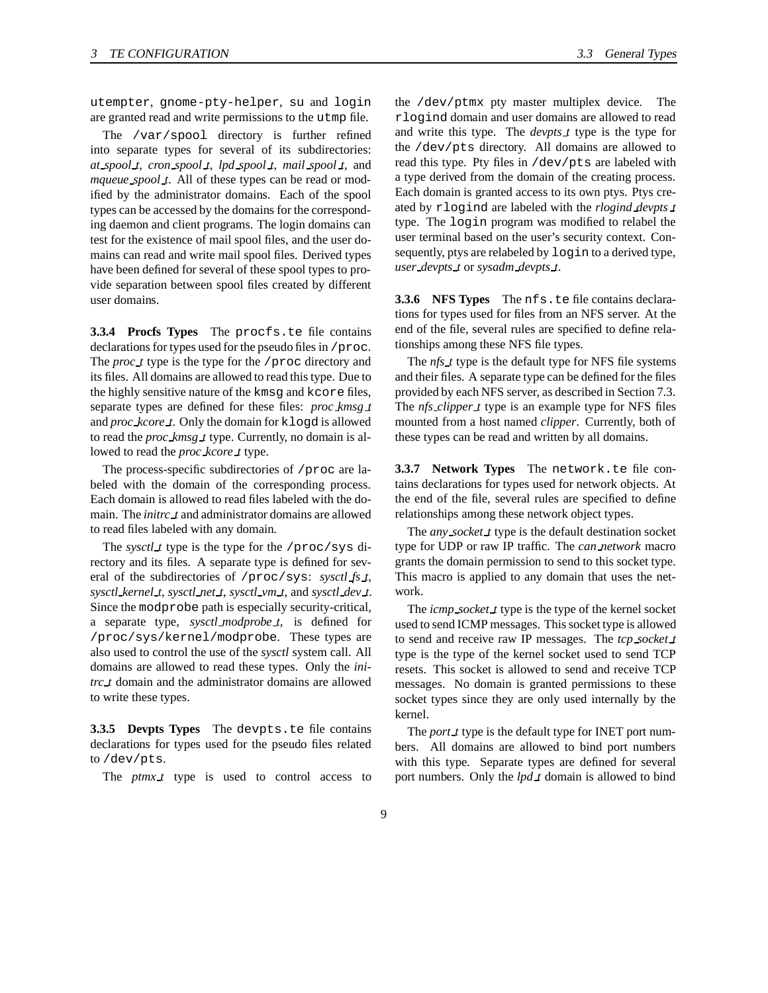utempter, gnome-pty-helper, su and login are granted read and write permissions to the utmp file.

The /var/spool directory is further refined into separate types for several of its subdirectories: *at spool t*, *cron spool t*, *lpd spool t*, *mail spool t*, and *mqueue spool t*. All of these types can be read or modified by the administrator domains. Each of the spool types can be accessed by the domains for the corresponding daemon and client programs. The login domains can test for the existence of mail spool files, and the user domains can read and write mail spool files. Derived types have been defined for several of these spool types to provide separation between spool files created by different user domains.

**3.3.4 Procfs Types** The procfs.te file contains declarations for types used for the pseudo files in /proc. The *proc\_t* type is the type for the /proc directory and its files. All domains are allowed to read this type. Due to the highly sensitive nature of the kmsg and kcore files, separate types are defined for these files: *proc kmsg t* and *proc kcore t*. Only the domain for klogd is allowed to read the *proc kmsg t* type. Currently, no domain is allowed to read the *proc kcore t* type.

The process-specific subdirectories of /proc are labeled with the domain of the corresponding process. Each domain is allowed to read files labeled with the domain. The *initrc t* and administrator domains are allowed to read files labeled with any domain.

The *sysctl t* type is the type for the /proc/sys directory and its files. A separate type is defined for several of the subdirectories of /proc/sys: *sysctl fs t*, *sysctl kernel t*, *sysctl net t*, *sysctl vm t*, and *sysctl dev t*. Since the modprobe path is especially security-critical, a separate type, *sysctl modprobe t*, is defined for /proc/sys/kernel/modprobe. These types are also used to control the use of the *sysctl* system call. All domains are allowed to read these types. Only the *initrc t* domain and the administrator domains are allowed to write these types.

**3.3.5 Devpts Types** The devpts.te file contains declarations for types used for the pseudo files related to /dev/pts.

The *ptmx t* type is used to control access to

the /dev/ptmx pty master multiplex device. The rlogind domain and user domains are allowed to read and write this type. The *devpts t* type is the type for the /dev/pts directory. All domains are allowed to read this type. Pty files in /dev/pts are labeled with a type derived from the domain of the creating process. Each domain is granted access to its own ptys. Ptys created by rlogind are labeled with the *rlogind devpts t* type. The login program was modified to relabel the user terminal based on the user's security context. Consequently, ptys are relabeled by login to a derived type, *user devpts t* or *sysadm devpts t*.

**3.3.6 NFS Types** The nfs.te file contains declarations for types used for files from an NFS server. At the end of the file, several rules are specified to define relationships among these NFS file types.

The *nfs t* type is the default type for NFS file systems and their files. A separate type can be defined for the files provided by each NFS server, as described in Section 7.3. The *nfs clipper t* type is an example type for NFS files mounted from a host named *clipper*. Currently, both of these types can be read and written by all domains.

**3.3.7 Network Types** The network.te file contains declarations for types used for network objects. At the end of the file, several rules are specified to define relationships among these network object types.

The *any socket t* type is the default destination socket type for UDP or raw IP traffic. The *can network* macro grants the domain permission to send to this socket type. This macro is applied to any domain that uses the network.

The *icmp socket t* type is the type of the kernel socket used to send ICMP messages. This socket type is allowed to send and receive raw IP messages. The *tcp socket t* type is the type of the kernel socket used to send TCP resets. This socket is allowed to send and receive TCP messages. No domain is granted permissions to these socket types since they are only used internally by the kernel.

The *port t* type is the default type for INET port numbers. All domains are allowed to bind port numbers with this type. Separate types are defined for several port numbers. Only the *lpd t* domain is allowed to bind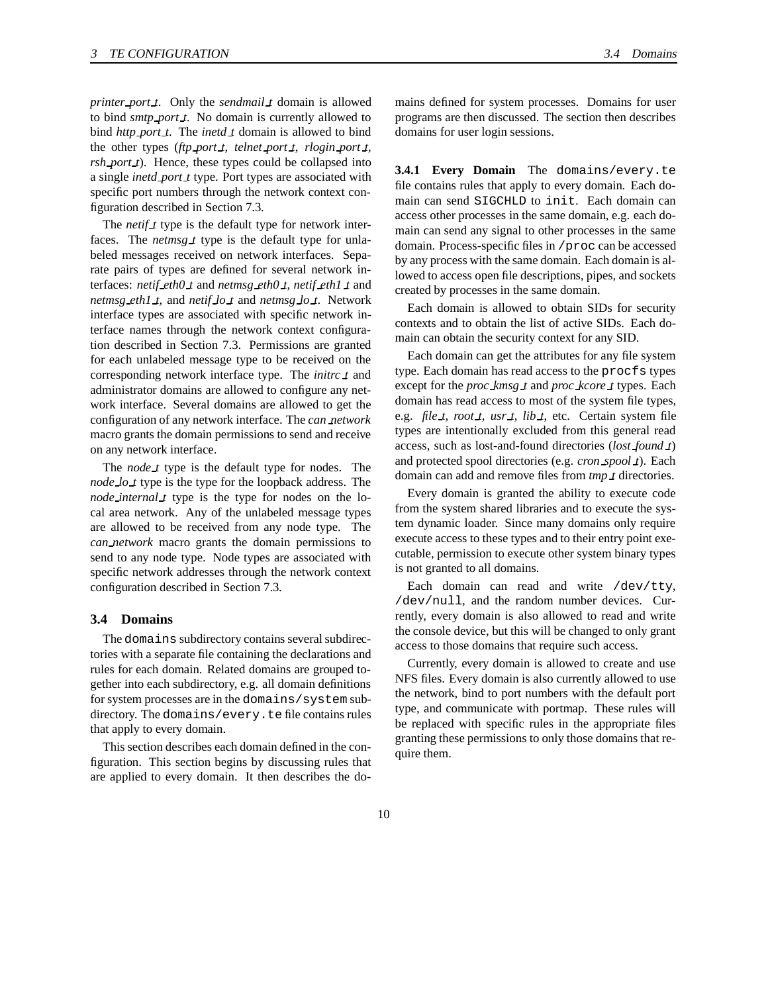*printer port t*. Only the *sendmail t* domain is allowed to bind *smtp port t*. No domain is currently allowed to bind *http port t*. The *inetd t* domain is allowed to bind the other types (*ftp port t*, *telnet port t*, *rlogin port t*, *rsh port t*). Hence, these types could be collapsed into a single *inetd port t* type. Port types are associated with specific port numbers through the network context configuration described in Section 7.3.

The *netif t* type is the default type for network interfaces. The *netmsg t* type is the default type for unlabeled messages received on network interfaces. Separate pairs of types are defined for several network interfaces: *netif eth0 t* and *netmsg eth0 t*, *netif eth1 t* and *netmsg eth1 t*, and *netif lo t* and *netmsg lo t*. Network interface types are associated with specific network interface names through the network context configuration described in Section 7.3. Permissions are granted for each unlabeled message type to be received on the corresponding network interface type. The *initrc t* and administrator domains are allowed to configure any network interface. Several domains are allowed to get the configuration of any network interface. The *can network* macro grants the domain permissions to send and receive on any network interface.

The *node t* type is the default type for nodes. The *node lo t* type is the type for the loopback address. The *node internal t* type is the type for nodes on the local area network. Any of the unlabeled message types are allowed to be received from any node type. The *can network* macro grants the domain permissions to send to any node type. Node types are associated with specific network addresses through the network context configuration described in Section 7.3.

#### **3.4 Domains**

The domains subdirectory contains several subdirectories with a separate file containing the declarations and rules for each domain. Related domains are grouped together into each subdirectory, e.g. all domain definitions for system processes are in the domains/system subdirectory. The domains/every.te file contains rules that apply to every domain.

This section describes each domain defined in the configuration. This section begins by discussing rules that are applied to every domain. It then describes the domains defined for system processes. Domains for user programs are then discussed. The section then describes domains for user login sessions.

**3.4.1 Every Domain** The domains/every.te file contains rules that apply to every domain. Each domain can send SIGCHLD to init. Each domain can access other processes in the same domain, e.g. each domain can send any signal to other processes in the same domain. Process-specific files in /proc can be accessed by any process with the same domain. Each domain is allowed to access open file descriptions, pipes, and sockets created by processes in the same domain.

Each domain is allowed to obtain SIDs for security contexts and to obtain the list of active SIDs. Each domain can obtain the security context for any SID.

Each domain can get the attributes for any file system type. Each domain has read access to the procfs types except for the *proc kmsg t* and *proc kcore t* types. Each domain has read access to most of the system file types, e.g. *file t*, *root t*, *usr t*, *lib t*, etc. Certain system file types are intentionally excluded from this general read access, such as lost-and-found directories (*lost found t*) and protected spool directories (e.g. *cron spool t*). Each domain can add and remove files from *tmp t* directories.

Every domain is granted the ability to execute code from the system shared libraries and to execute the system dynamic loader. Since many domains only require execute access to these types and to their entry point executable, permission to execute other system binary types is not granted to all domains.

Each domain can read and write /dev/tty, /dev/null, and the random number devices. Currently, every domain is also allowed to read and write the console device, but this will be changed to only grant access to those domains that require such access.

Currently, every domain is allowed to create and use NFS files. Every domain is also currently allowed to use the network, bind to port numbers with the default port type, and communicate with portmap. These rules will be replaced with specific rules in the appropriate files granting these permissions to only those domains that require them.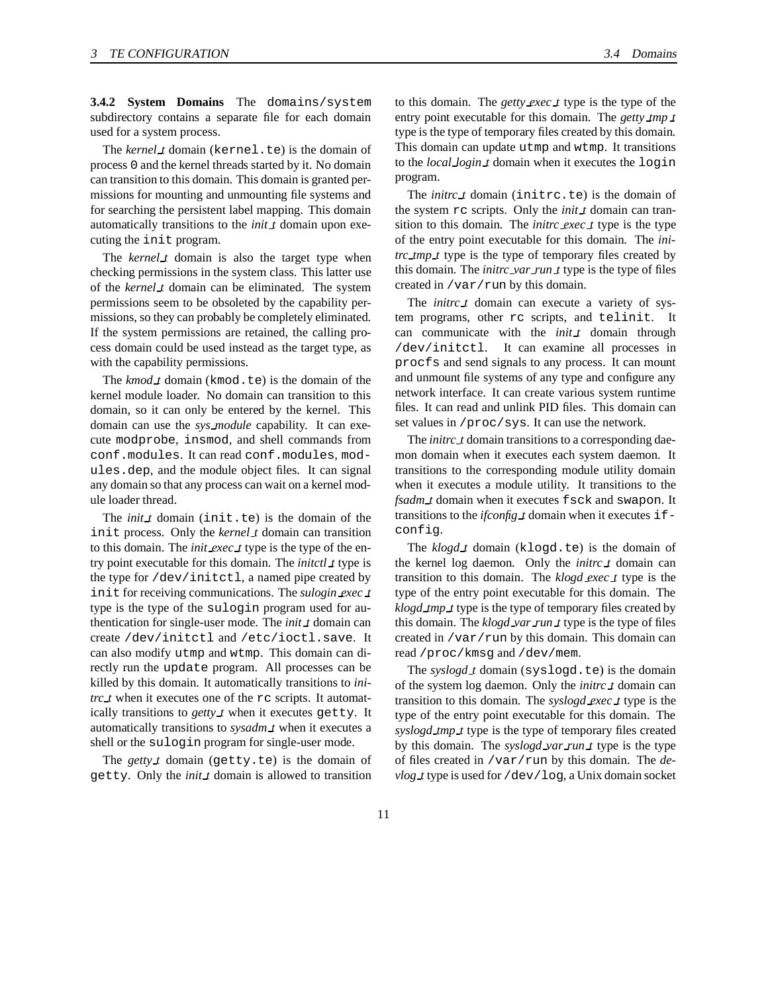**3.4.2 System Domains** The domains/system subdirectory contains a separate file for each domain used for a system process.

The *kernel t* domain (kernel.te) is the domain of process 0 and the kernel threads started by it. No domain can transition to this domain. This domain is granted permissions for mounting and unmounting file systems and for searching the persistent label mapping. This domain automatically transitions to the *init t* domain upon executing the init program.

The *kernel t* domain is also the target type when checking permissions in the system class. This latter use of the *kernel t* domain can be eliminated. The system permissions seem to be obsoleted by the capability permissions, so they can probably be completely eliminated. If the system permissions are retained, the calling process domain could be used instead as the target type, as with the capability permissions.

The *kmod t* domain (kmod.te) is the domain of the kernel module loader. No domain can transition to this domain, so it can only be entered by the kernel. This domain can use the *sys module* capability. It can execute modprobe, insmod, and shell commands from conf.modules. It can read conf.modules, modules.dep, and the module object files. It can signal any domain so that any process can wait on a kernel module loader thread.

The *init t* domain (init.te) is the domain of the init process. Only the *kernel t* domain can transition to this domain. The *init exec t* type is the type of the entry point executable for this domain. The *initctl t* type is the type for /dev/initctl, a named pipe created by init for receiving communications. The *sulogin exec t* type is the type of the sulogin program used for authentication for single-user mode. The *init t* domain can create /dev/initctl and /etc/ioctl.save. It can also modify utmp and wtmp. This domain can directly run the update program. All processes can be killed by this domain. It automatically transitions to *initrc t* when it executes one of the rc scripts. It automatically transitions to *getty t* when it executes getty. It automatically transitions to *sysadm t* when it executes a shell or the sulogin program for single-user mode.

The *getty t* domain (getty.te) is the domain of getty. Only the *init t* domain is allowed to transition to this domain. The *getty exec t* type is the type of the entry point executable for this domain. The *getty tmp t* type is the type of temporary files created by this domain. This domain can update utmp and wtmp. It transitions to the *local login t* domain when it executes the login program.

The *initrc t* domain (initrc.te) is the domain of the system rc scripts. Only the *init t* domain can transition to this domain. The *initrc exec t* type is the type of the entry point executable for this domain. The *initrc tmp t* type is the type of temporary files created by this domain. The *initrc var run t* type is the type of files created in /var/run by this domain.

The *initrc t* domain can execute a variety of system programs, other rc scripts, and telinit. It can communicate with the *init t* domain through /dev/initctl. It can examine all processes in procfs and send signals to any process. It can mount and unmount file systems of any type and configure any network interface. It can create various system runtime files. It can read and unlink PID files. This domain can set values in /proc/sys. It can use the network.

The *initrc t* domain transitions to a corresponding daemon domain when it executes each system daemon. It transitions to the corresponding module utility domain when it executes a module utility. It transitions to the *fsadm t* domain when it executes fsck and swapon. It transitions to the *ifconfig t* domain when it executes ifconfig.

The *klogd t* domain (klogd.te) is the domain of the kernel log daemon. Only the *initrc t* domain can transition to this domain. The *klogd exec t* type is the type of the entry point executable for this domain. The *klogd tmp t* type is the type of temporary files created by this domain. The *klogd var run t* type is the type of files created in /var/run by this domain. This domain can read /proc/kmsg and /dev/mem.

The *syslogd t* domain (syslogd.te) is the domain of the system log daemon. Only the *initrc t* domain can transition to this domain. The *syslogd exec t* type is the type of the entry point executable for this domain. The *syslogd tmp t* type is the type of temporary files created by this domain. The *syslogd var run t* type is the type of files created in /var/run by this domain. The *devlog t* type is used for /dev/log, a Unix domain socket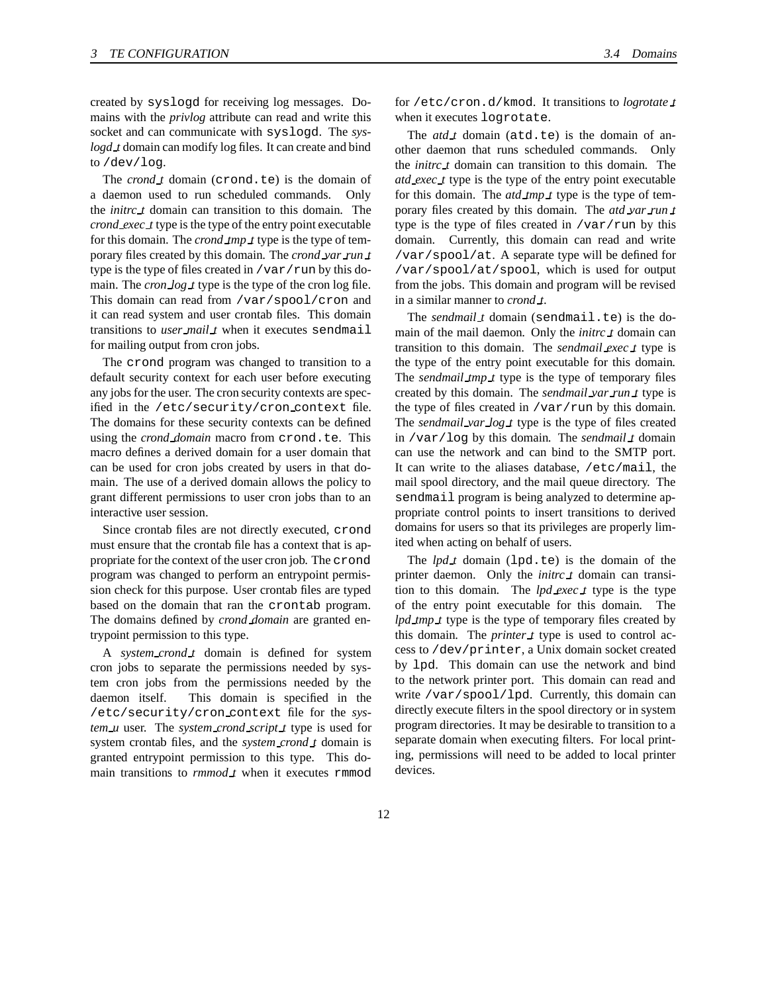created by syslogd for receiving log messages. Domains with the *privlog* attribute can read and write this socket and can communicate with syslogd. The *syslogd t* domain can modify log files. It can create and bind to /dev/log.

The *crond t* domain (crond.te) is the domain of a daemon used to run scheduled commands. Only the *initrc t* domain can transition to this domain. The *crond exec t* type is the type of the entry point executable for this domain. The *crond tmp t* type is the type of temporary files created by this domain. The *crond var run t* type is the type of files created in  $/\text{var}/\text{run}$  by this domain. The *cron log t* type is the type of the cron log file. This domain can read from /var/spool/cron and it can read system and user crontab files. This domain transitions to *user mail t* when it executes sendmail for mailing output from cron jobs.

The crond program was changed to transition to a default security context for each user before executing any jobs for the user. The cron security contexts are specified in the /etc/security/cron context file. The domains for these security contexts can be defined using the *crond domain* macro from crond.te. This macro defines a derived domain for a user domain that can be used for cron jobs created by users in that domain. The use of a derived domain allows the policy to grant different permissions to user cron jobs than to an interactive user session.

Since crontab files are not directly executed, crond must ensure that the crontab file has a context that is appropriate for the context of the user cron job. The crond program was changed to perform an entrypoint permission check for this purpose. User crontab files are typed based on the domain that ran the crontab program. The domains defined by *crond domain* are granted entrypoint permission to this type.

A *system crond t* domain is defined for system cron jobs to separate the permissions needed by system cron jobs from the permissions needed by the daemon itself. This domain is specified in the /etc/security/cron context file for the *system u* user. The *system crond script t* type is used for system crontab files, and the *system crond t* domain is granted entrypoint permission to this type. This domain transitions to *rmmod t* when it executes rmmod

for /etc/cron.d/kmod. It transitions to *logrotate t* when it executes logrotate.

The *atd t* domain (atd.te) is the domain of another daemon that runs scheduled commands. Only the *initrc t* domain can transition to this domain. The *atd exec t* type is the type of the entry point executable for this domain. The *atd tmp t* type is the type of temporary files created by this domain. The *atd var run t* type is the type of files created in /var/run by this domain. Currently, this domain can read and write /var/spool/at. A separate type will be defined for /var/spool/at/spool, which is used for output from the jobs. This domain and program will be revised in a similar manner to *crond t*.

The *sendmail t* domain (sendmail.te) is the domain of the mail daemon. Only the *initrc t* domain can transition to this domain. The *sendmail exec t* type is the type of the entry point executable for this domain. The *sendmail tmp t* type is the type of temporary files created by this domain. The *sendmail var run t* type is the type of files created in  $/\text{var}/\text{run}$  by this domain. The *sendmail var log t* type is the type of files created in /var/log by this domain. The *sendmail t* domain can use the network and can bind to the SMTP port. It can write to the aliases database, /etc/mail, the mail spool directory, and the mail queue directory. The sendmail program is being analyzed to determine appropriate control points to insert transitions to derived domains for users so that its privileges are properly limited when acting on behalf of users.

The *lpd t* domain (lpd.te) is the domain of the printer daemon. Only the *initrc t* domain can transition to this domain. The *lpd exec t* type is the type of the entry point executable for this domain. The *lpd tmp t* type is the type of temporary files created by this domain. The *printer t* type is used to control access to /dev/printer, a Unix domain socket created by lpd. This domain can use the network and bind to the network printer port. This domain can read and write /var/spool/lpd. Currently, this domain can directly execute filters in the spool directory or in system program directories. It may be desirable to transition to a separate domain when executing filters. For local printing, permissions will need to be added to local printer devices.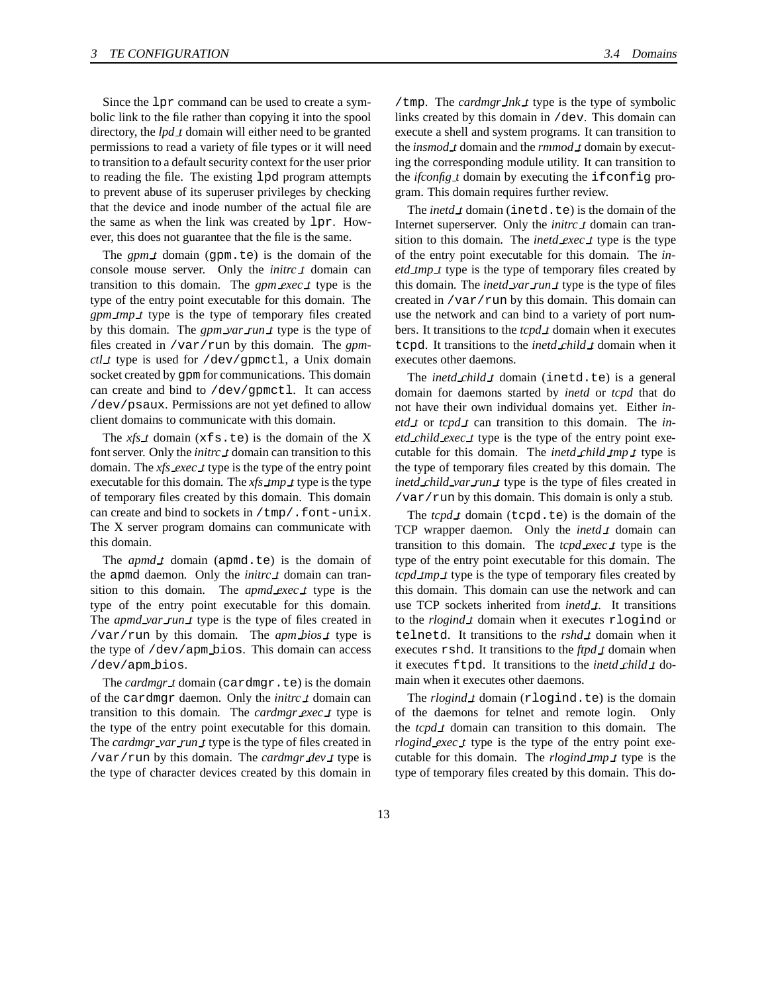Since the lpr command can be used to create a symbolic link to the file rather than copying it into the spool directory, the *lpd t* domain will either need to be granted permissions to read a variety of file types or it will need to transition to a default security context for the user prior to reading the file. The existing lpd program attempts to prevent abuse of its superuser privileges by checking that the device and inode number of the actual file are the same as when the link was created by lpr. However, this does not guarantee that the file is the same.

The  $gpm \t{1}$  domain (gpm.te) is the domain of the console mouse server. Only the *initrc t* domain can transition to this domain. The *gpm exec t* type is the type of the entry point executable for this domain. The *gpm tmp t* type is the type of temporary files created by this domain. The *gpm var run t* type is the type of files created in /var/run by this domain. The *gpmctl t* type is used for /dev/gpmctl, a Unix domain socket created by gpm for communications. This domain can create and bind to /dev/gpmctl. It can access /dev/psaux. Permissions are not yet defined to allow client domains to communicate with this domain.

The *xfs t* domain (xfs.te) is the domain of the X font server. Only the *initrc t* domain can transition to this domain. The *xfs exec t* type is the type of the entry point executable for this domain. The *xfs tmp t* type is the type of temporary files created by this domain. This domain can create and bind to sockets in /tmp/.font-unix. The X server program domains can communicate with this domain.

The *apmd t* domain (apmd.te) is the domain of the apmd daemon. Only the *initrc t* domain can transition to this domain. The *apmd exec t* type is the type of the entry point executable for this domain. The *apmd var run t* type is the type of files created in /var/run by this domain. The *apm bios t* type is the type of /dev/apm bios. This domain can access /dev/apm bios.

The *cardmgr i* domain (cardmgr.te) is the domain of the cardmgr daemon. Only the *initrc t* domain can transition to this domain. The *cardmgr exec t* type is the type of the entry point executable for this domain. The *cardmgr var run t* type is the type of files created in /var/run by this domain. The *cardmgr dev t* type is the type of character devices created by this domain in

/tmp. The *cardmgr lnk t* type is the type of symbolic links created by this domain in /dev. This domain can execute a shell and system programs. It can transition to the *insmod t* domain and the *rmmod t* domain by executing the corresponding module utility. It can transition to the *ifconfig t* domain by executing the ifconfig program. This domain requires further review.

The *inetd t* domain (inetd.te) is the domain of the Internet superserver. Only the *initrc t* domain can transition to this domain. The *inetd exec t* type is the type of the entry point executable for this domain. The *inetd tmp t* type is the type of temporary files created by this domain. The *inetd var run t* type is the type of files created in /var/run by this domain. This domain can use the network and can bind to a variety of port numbers. It transitions to the *tcpd t* domain when it executes tcpd. It transitions to the *inetd child t* domain when it executes other daemons.

The *inetd child t* domain (inetd.te) is a general domain for daemons started by *inetd* or *tcpd* that do not have their own individual domains yet. Either *inetd t* or *tcpd t* can transition to this domain. The *inetd child exec t* type is the type of the entry point executable for this domain. The *inetd child tmp t* type is the type of temporary files created by this domain. The *inetd child var run t* type is the type of files created in /var/run by this domain. This domain is only a stub.

The *tcpd t* domain (tcpd.te) is the domain of the TCP wrapper daemon. Only the *inetd t* domain can transition to this domain. The *tcpd exec t* type is the type of the entry point executable for this domain. The *tcpd\_tmp\_t* type is the type of temporary files created by this domain. This domain can use the network and can use TCP sockets inherited from *inetd t*. It transitions to the *rlogind t* domain when it executes rlogind or telnetd. It transitions to the *rshd t* domain when it executes rshd. It transitions to the *ftpd t* domain when it executes ftpd. It transitions to the *inetd child t* domain when it executes other daemons.

The *rlogind t* domain (rlogind.te) is the domain of the daemons for telnet and remote login. Only the *tcpd t* domain can transition to this domain. The *rlogind exec t* type is the type of the entry point executable for this domain. The *rlogind tmp t* type is the type of temporary files created by this domain. This do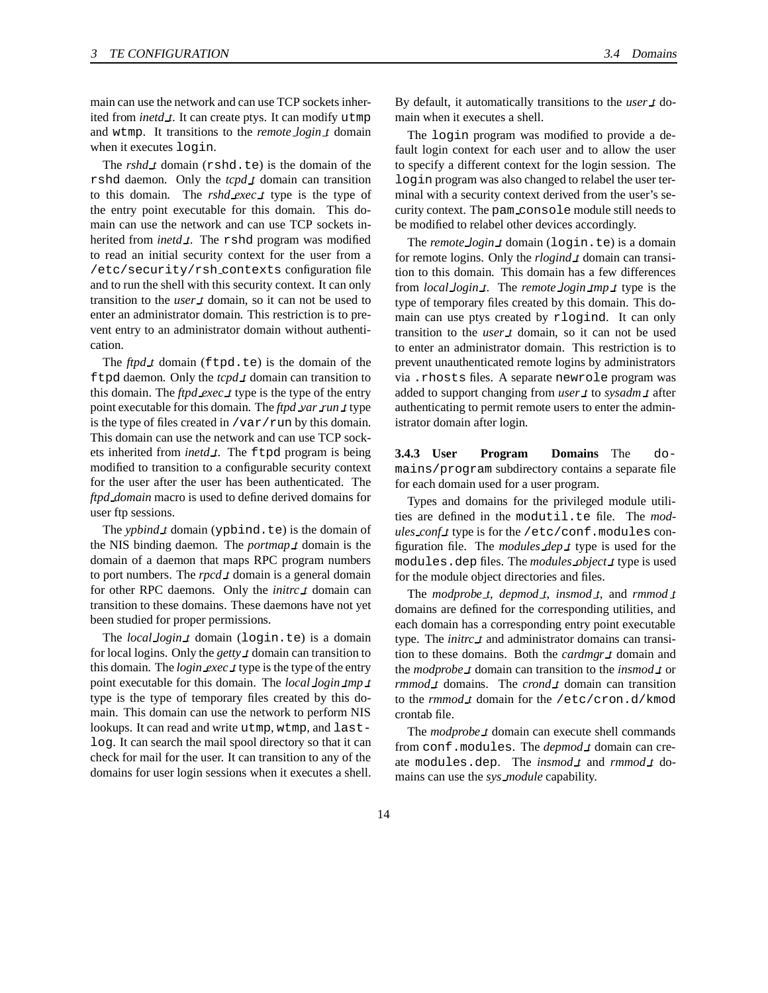main can use the network and can use TCP sockets inherited from *inetd\_t*. It can create ptys. It can modify utmp and wtmp. It transitions to the *remote login t* domain when it executes login.

The *rshd t* domain (rshd.te) is the domain of the rshd daemon. Only the *tcpd t* domain can transition to this domain. The *rshd exec t* type is the type of the entry point executable for this domain. This domain can use the network and can use TCP sockets inherited from *inetd t*. The rshd program was modified to read an initial security context for the user from a /etc/security/rsh contexts configuration file and to run the shell with this security context. It can only transition to the *user t* domain, so it can not be used to enter an administrator domain. This restriction is to prevent entry to an administrator domain without authentication.

The  $ftpd\_t$  domain ( $ftpd.te$ ) is the domain of the ftpd daemon. Only the *tcpd t* domain can transition to this domain. The *ftpd exec t* type is the type of the entry point executable for this domain. The *ftpd var run t* type is the type of files created in  $/\text{var}/\text{run}$  by this domain. This domain can use the network and can use TCP sockets inherited from *inetd t*. The ftpd program is being modified to transition to a configurable security context for the user after the user has been authenticated. The *ftpd domain* macro is used to define derived domains for user ftp sessions.

The *ypbind t* domain (ypbind.te) is the domain of the NIS binding daemon. The *portmap t* domain is the domain of a daemon that maps RPC program numbers to port numbers. The *rpcd t* domain is a general domain for other RPC daemons. Only the *initrc t* domain can transition to these domains. These daemons have not yet been studied for proper permissions.

The *local login t* domain (login.te) is a domain for local logins. Only the *getty t* domain can transition to this domain. The *login exec t* type is the type of the entry point executable for this domain. The *local login tmp t* type is the type of temporary files created by this domain. This domain can use the network to perform NIS lookups. It can read and write utmp, wtmp, and lastlog. It can search the mail spool directory so that it can check for mail for the user. It can transition to any of the domains for user login sessions when it executes a shell. By default, it automatically transitions to the *user t* domain when it executes a shell.

The login program was modified to provide a default login context for each user and to allow the user to specify a different context for the login session. The login program was also changed to relabel the user terminal with a security context derived from the user's security context. The pam console module still needs to be modified to relabel other devices accordingly.

The *remote login t* domain (login.te) is a domain for remote logins. Only the *rlogind t* domain can transition to this domain. This domain has a few differences from *local login t*. The *remote login tmp t* type is the type of temporary files created by this domain. This domain can use ptys created by rlogind. It can only transition to the *user t* domain, so it can not be used to enter an administrator domain. This restriction is to prevent unauthenticated remote logins by administrators via .rhosts files. A separate newrole program was added to support changing from *user t* to *sysadm t* after authenticating to permit remote users to enter the administrator domain after login.

**3.4.3 User Program Domains** The domains/program subdirectory contains a separate file for each domain used for a user program.

Types and domains for the privileged module utilities are defined in the modutil.te file. The *modules conf t* type is for the /etc/conf.modules configuration file. The *modules dep t* type is used for the modules.dep files. The *modules object t* type is used for the module object directories and files.

The *modprobe t*, *depmod t*, *insmod t*, and *rmmod t* domains are defined for the corresponding utilities, and each domain has a corresponding entry point executable type. The *initrc t* and administrator domains can transition to these domains. Both the *cardmgr t* domain and the *modprobe t* domain can transition to the *insmod t* or *rmmod t* domains. The *crond t* domain can transition to the *rmmod t* domain for the /etc/cron.d/kmod crontab file.

The *modprobe t* domain can execute shell commands from conf.modules. The *depmod t* domain can create modules.dep. The *insmod t* and *rmmod t* domains can use the *sys module* capability.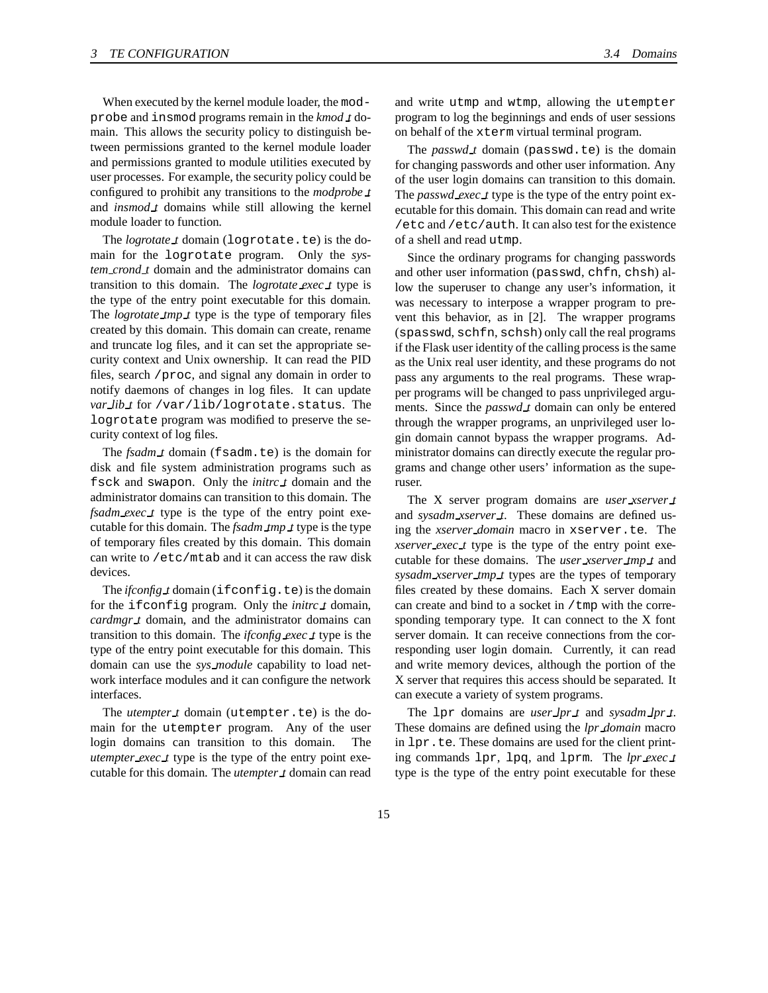When executed by the kernel module loader, the modprobe and insmod programs remain in the *kmod t* domain. This allows the security policy to distinguish between permissions granted to the kernel module loader and permissions granted to module utilities executed by user processes. For example, the security policy could be configured to prohibit any transitions to the *modprobe t* and *insmod t* domains while still allowing the kernel module loader to function.

The *logrotate t* domain (logrotate.te) is the domain for the logrotate program. Only the *system crond t* domain and the administrator domains can transition to this domain. The *logrotate exec t* type is the type of the entry point executable for this domain. The *logrotate tmp t* type is the type of temporary files created by this domain. This domain can create, rename and truncate log files, and it can set the appropriate security context and Unix ownership. It can read the PID files, search /proc, and signal any domain in order to notify daemons of changes in log files. It can update *var lib t* for /var/lib/logrotate.status. The logrotate program was modified to preserve the security context of log files.

The *fsadm t* domain (fsadm.te) is the domain for disk and file system administration programs such as fsck and swapon. Only the *initrc t* domain and the administrator domains can transition to this domain. The *fsadm\_exec\_t* type is the type of the entry point executable for this domain. The *fsadm tmp t* type is the type of temporary files created by this domain. This domain can write to /etc/mtab and it can access the raw disk devices.

The *ifconfig t* domain (ifconfig.te) is the domain for the ifconfig program. Only the *initrc t* domain, *cardmgr t* domain, and the administrator domains can transition to this domain. The *ifconfig exec t* type is the type of the entry point executable for this domain. This domain can use the *sys module* capability to load network interface modules and it can configure the network interfaces.

The *utempter t* domain (utempter.te) is the domain for the utempter program. Any of the user login domains can transition to this domain. The *utempter exec t* type is the type of the entry point executable for this domain. The *utempter t* domain can read

and write utmp and wtmp, allowing the utempter program to log the beginnings and ends of user sessions on behalf of the xterm virtual terminal program.

The *passwd t* domain (passwd.te) is the domain for changing passwords and other user information. Any of the user login domains can transition to this domain. The *passwd exec t* type is the type of the entry point executable for this domain. This domain can read and write /etc and /etc/auth. It can also test for the existence of a shell and read utmp.

Since the ordinary programs for changing passwords and other user information (passwd, chfn, chsh) allow the superuser to change any user's information, it was necessary to interpose a wrapper program to prevent this behavior, as in [2]. The wrapper programs (spasswd, schfn, schsh) only call the real programs if the Flask user identity of the calling process is the same as the Unix real user identity, and these programs do not pass any arguments to the real programs. These wrapper programs will be changed to pass unprivileged arguments. Since the *passwd t* domain can only be entered through the wrapper programs, an unprivileged user login domain cannot bypass the wrapper programs. Administrator domains can directly execute the regular programs and change other users' information as the superuser.

The X server program domains are *user xserver t* and *sysadm\_xserver\_t*. These domains are defined using the *xserver domain* macro in xserver.te. The *xserver exec t* type is the type of the entry point executable for these domains. The *user xserver tmp t* and *sysadm xserver tmp t* types are the types of temporary files created by these domains. Each X server domain can create and bind to a socket in /tmp with the corresponding temporary type. It can connect to the X font server domain. It can receive connections from the corresponding user login domain. Currently, it can read and write memory devices, although the portion of the X server that requires this access should be separated. It can execute a variety of system programs.

The lpr domains are *user lpr t* and *sysadm lpr t*. These domains are defined using the *lpr domain* macro in lpr.te. These domains are used for the client printing commands lpr, lpq, and lprm. The *lpr exec t* type is the type of the entry point executable for these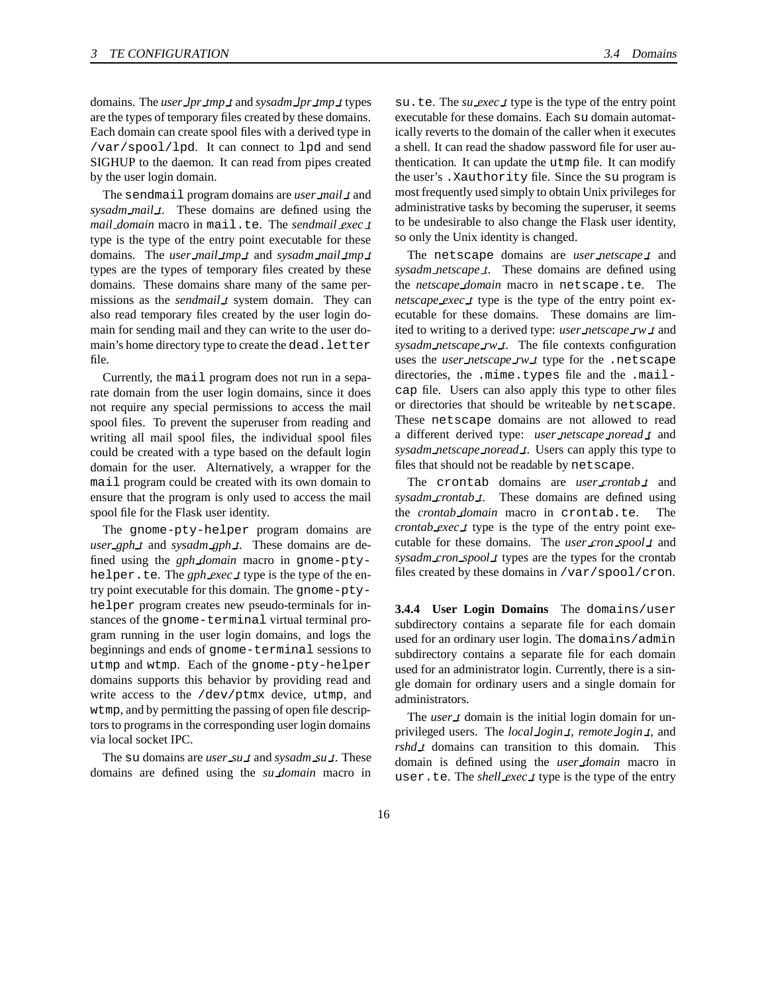domains. The *user lpr tmp t* and *sysadm lpr tmp t* types are the types of temporary files created by these domains. Each domain can create spool files with a derived type in /var/spool/lpd. It can connect to lpd and send SIGHUP to the daemon. It can read from pipes created by the user login domain.

The sendmail program domains are *user mail t* and *sysadm mail t*. These domains are defined using the *mail domain* macro in mail.te. The *sendmail exec t* type is the type of the entry point executable for these domains. The *user mail tmp t* and *sysadm mail tmp t* types are the types of temporary files created by these domains. These domains share many of the same permissions as the *sendmail t* system domain. They can also read temporary files created by the user login domain for sending mail and they can write to the user domain's home directory type to create the dead. letter file.

Currently, the mail program does not run in a separate domain from the user login domains, since it does not require any special permissions to access the mail spool files. To prevent the superuser from reading and writing all mail spool files, the individual spool files could be created with a type based on the default login domain for the user. Alternatively, a wrapper for the mail program could be created with its own domain to ensure that the program is only used to access the mail spool file for the Flask user identity.

The gnome-pty-helper program domains are *user gph t* and *sysadm gph t*. These domains are defined using the *gph domain* macro in gnome-ptyhelper.te. The *gph exec t* type is the type of the entry point executable for this domain. The gnome-ptyhelper program creates new pseudo-terminals for instances of the gnome-terminal virtual terminal program running in the user login domains, and logs the beginnings and ends of gnome-terminal sessions to utmp and wtmp. Each of the gnome-pty-helper domains supports this behavior by providing read and write access to the /dev/ptmx device, utmp, and wtmp, and by permitting the passing of open file descriptors to programs in the corresponding user login domains via local socket IPC.

The su domains are *user su t* and *sysadm su t*. These domains are defined using the *su domain* macro in

su.te. The *su exec t* type is the type of the entry point executable for these domains. Each su domain automatically reverts to the domain of the caller when it executes a shell. It can read the shadow password file for user authentication. It can update the utmp file. It can modify the user's .Xauthority file. Since the su program is most frequently used simply to obtain Unix privileges for administrative tasks by becoming the superuser, it seems to be undesirable to also change the Flask user identity, so only the Unix identity is changed.

The netscape domains are *user netscape t* and *sysadm netscape t*. These domains are defined using the *netscape domain* macro in netscape.te. The *netscape exec t* type is the type of the entry point executable for these domains. These domains are limited to writing to a derived type: *user netscape rw t* and *sysadm netscape rw t*. The file contexts configuration uses the *user netscape rw t* type for the .netscape directories, the .mime.types file and the .mailcap file. Users can also apply this type to other files or directories that should be writeable by netscape. These netscape domains are not allowed to read a different derived type: *user netscape noread t* and *sysadm netscape noread t*. Users can apply this type to files that should not be readable by netscape.

The crontab domains are *user crontab t* and *sysadm crontab t*. These domains are defined using the *crontab domain* macro in crontab.te. The *crontab exec t* type is the type of the entry point executable for these domains. The *user cron spool t* and *sysadm cron spool t* types are the types for the crontab files created by these domains in /var/spool/cron.

**3.4.4 User Login Domains** The domains/user subdirectory contains a separate file for each domain used for an ordinary user login. The domains/admin subdirectory contains a separate file for each domain used for an administrator login. Currently, there is a single domain for ordinary users and a single domain for administrators.

The *user t* domain is the initial login domain for unprivileged users. The *local login t*, *remote login t*, and *rshd t* domains can transition to this domain. This domain is defined using the *user domain* macro in user.te. The *shell exec t* type is the type of the entry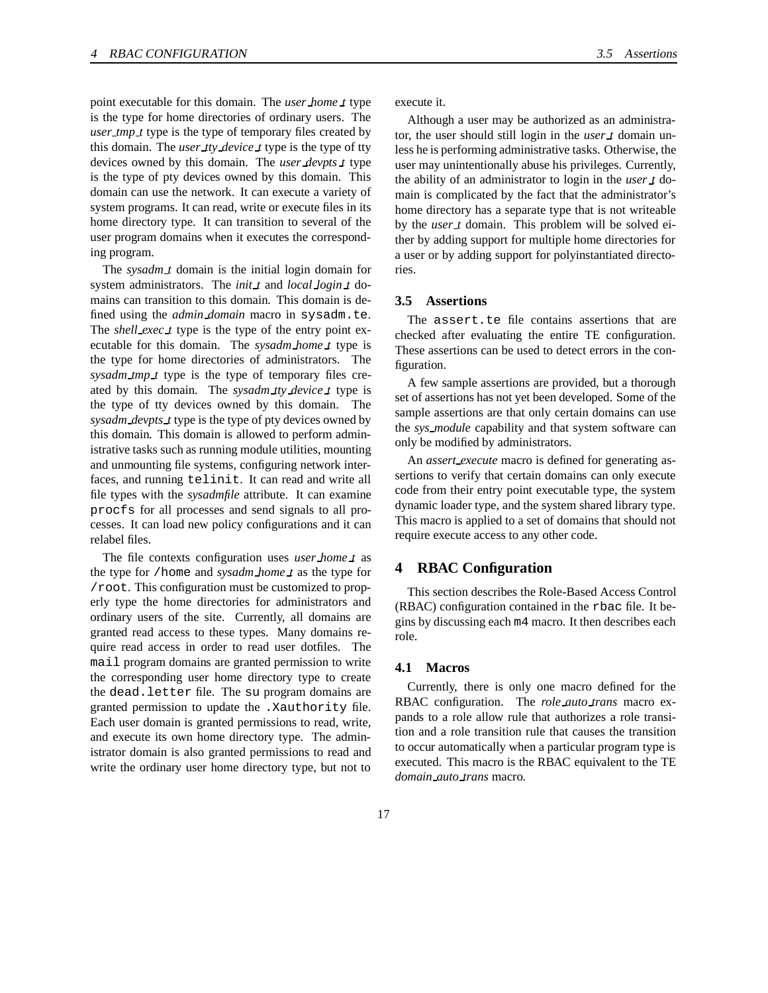point executable for this domain. The *user home t* type is the type for home directories of ordinary users. The *user tmp t* type is the type of temporary files created by this domain. The *user tty device t* type is the type of tty devices owned by this domain. The *user devpts t* type is the type of pty devices owned by this domain. This domain can use the network. It can execute a variety of system programs. It can read, write or execute files in its home directory type. It can transition to several of the user program domains when it executes the corresponding program.

The *sysadm t* domain is the initial login domain for system administrators. The *init t* and *local login t* domains can transition to this domain. This domain is defined using the *admin domain* macro in sysadm.te. The *shell exec t* type is the type of the entry point executable for this domain. The *sysadm home t* type is the type for home directories of administrators. The *sysadm tmp t* type is the type of temporary files created by this domain. The *sysadm tty device t* type is the type of tty devices owned by this domain. The *sysadm devpts t* type is the type of pty devices owned by this domain. This domain is allowed to perform administrative tasks such as running module utilities, mounting and unmounting file systems, configuring network interfaces, and running telinit. It can read and write all file types with the *sysadmfile* attribute. It can examine procfs for all processes and send signals to all processes. It can load new policy configurations and it can relabel files.

The file contexts configuration uses *user home t* as the type for /home and *sysadm home t* as the type for /root. This configuration must be customized to properly type the home directories for administrators and ordinary users of the site. Currently, all domains are granted read access to these types. Many domains require read access in order to read user dotfiles. The mail program domains are granted permission to write the corresponding user home directory type to create the dead.letter file. The su program domains are granted permission to update the .Xauthority file. Each user domain is granted permissions to read, write, and execute its own home directory type. The administrator domain is also granted permissions to read and write the ordinary user home directory type, but not to

execute it.

Although a user may be authorized as an administrator, the user should still login in the *user t* domain unless he is performing administrative tasks. Otherwise, the user may unintentionally abuse his privileges. Currently, the ability of an administrator to login in the *user t* domain is complicated by the fact that the administrator's home directory has a separate type that is not writeable by the *user t* domain. This problem will be solved either by adding support for multiple home directories for a user or by adding support for polyinstantiated directories.

#### **3.5 Assertions**

The assert.te file contains assertions that are checked after evaluating the entire TE configuration. These assertions can be used to detect errors in the configuration.

A few sample assertions are provided, but a thorough set of assertions has not yet been developed. Some of the sample assertions are that only certain domains can use the *sys module* capability and that system software can only be modified by administrators.

An *assert execute* macro is defined for generating assertions to verify that certain domains can only execute code from their entry point executable type, the system dynamic loader type, and the system shared library type. This macro is applied to a set of domains that should not require execute access to any other code.

# **4 RBAC Configuration**

This section describes the Role-Based Access Control (RBAC) configuration contained in the rbac file. It begins by discussing each m4 macro. It then describes each role.

#### **4.1 Macros**

Currently, there is only one macro defined for the RBAC configuration. The *role auto trans* macro expands to a role allow rule that authorizes a role transition and a role transition rule that causes the transition to occur automatically when a particular program type is executed. This macro is the RBAC equivalent to the TE *domain auto trans* macro.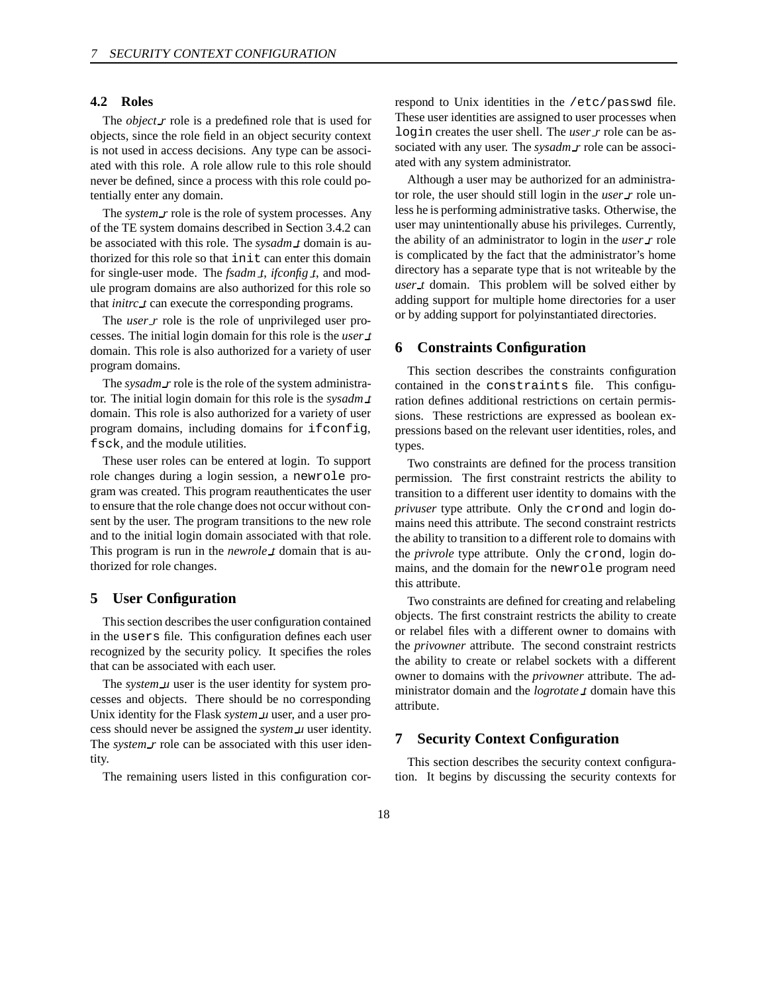#### **4.2 Roles**

The *object r* role is a predefined role that is used for objects, since the role field in an object security context is not used in access decisions. Any type can be associated with this role. A role allow rule to this role should never be defined, since a process with this role could potentially enter any domain.

The *system r* role is the role of system processes. Any of the TE system domains described in Section 3.4.2 can be associated with this role. The *sysadm t* domain is authorized for this role so that init can enter this domain for single-user mode. The *fsadm t*, *ifconfig t*, and module program domains are also authorized for this role so that *initrc t* can execute the corresponding programs.

The *user r* role is the role of unprivileged user processes. The initial login domain for this role is the *user t* domain. This role is also authorized for a variety of user program domains.

The *sysadm r* role is the role of the system administrator. The initial login domain for this role is the *sysadm t* domain. This role is also authorized for a variety of user program domains, including domains for ifconfig, fsck, and the module utilities.

These user roles can be entered at login. To support role changes during a login session, a newrole program was created. This program reauthenticates the user to ensure that the role change does not occur without consent by the user. The program transitions to the new role and to the initial login domain associated with that role. This program is run in the *newrole t* domain that is authorized for role changes.

# **5 User Configuration**

This section describes the user configuration contained in the users file. This configuration defines each user recognized by the security policy. It specifies the roles that can be associated with each user.

The *system\_u* user is the user identity for system processes and objects. There should be no corresponding Unix identity for the Flask *system u* user, and a user process should never be assigned the *system u* user identity. The *system\_r* role can be associated with this user identity.

The remaining users listed in this configuration cor-

respond to Unix identities in the /etc/passwd file. These user identities are assigned to user processes when login creates the user shell. The *user r* role can be associated with any user. The *sysadm r* role can be associated with any system administrator.

Although a user may be authorized for an administrator role, the user should still login in the *user r* role unless he is performing administrative tasks. Otherwise, the user may unintentionally abuse his privileges. Currently, the ability of an administrator to login in the *user r* role is complicated by the fact that the administrator's home directory has a separate type that is not writeable by the *user t* domain. This problem will be solved either by adding support for multiple home directories for a user or by adding support for polyinstantiated directories.

#### **6 Constraints Configuration**

This section describes the constraints configuration contained in the constraints file. This configuration defines additional restrictions on certain permissions. These restrictions are expressed as boolean expressions based on the relevant user identities, roles, and types.

Two constraints are defined for the process transition permission. The first constraint restricts the ability to transition to a different user identity to domains with the *privuser* type attribute. Only the crond and login domains need this attribute. The second constraint restricts the ability to transition to a different role to domains with the *privrole* type attribute. Only the crond, login domains, and the domain for the newrole program need this attribute.

Two constraints are defined for creating and relabeling objects. The first constraint restricts the ability to create or relabel files with a different owner to domains with the *privowner* attribute. The second constraint restricts the ability to create or relabel sockets with a different owner to domains with the *privowner* attribute. The administrator domain and the *logrotate t* domain have this attribute.

# **7 Security Context Configuration**

This section describes the security context configuration. It begins by discussing the security contexts for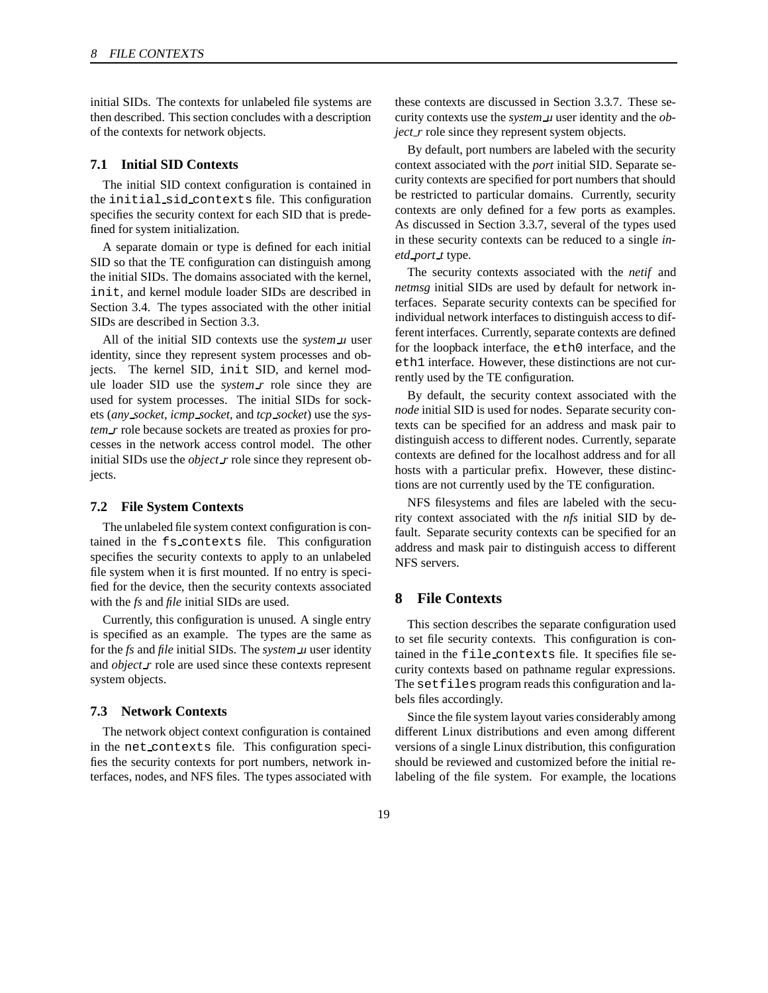initial SIDs. The contexts for unlabeled file systems are then described. This section concludes with a description of the contexts for network objects.

#### **7.1 Initial SID Contexts**

The initial SID context configuration is contained in the initial sid contexts file. This configuration specifies the security context for each SID that is predefined for system initialization.

A separate domain or type is defined for each initial SID so that the TE configuration can distinguish among the initial SIDs. The domains associated with the kernel, init, and kernel module loader SIDs are described in Section 3.4. The types associated with the other initial SIDs are described in Section 3.3.

All of the initial SID contexts use the *system u* user identity, since they represent system processes and objects. The kernel SID, init SID, and kernel module loader SID use the *system r* role since they are used for system processes. The initial SIDs for sockets (*any socket*, *icmp socket*, and *tcp socket*) use the *system\_r* role because sockets are treated as proxies for processes in the network access control model. The other initial SIDs use the *object r* role since they represent objects.

#### **7.2 File System Contexts**

The unlabeled file system context configuration is contained in the fs contexts file. This configuration specifies the security contexts to apply to an unlabeled file system when it is first mounted. If no entry is specified for the device, then the security contexts associated with the *fs* and *file* initial SIDs are used.

Currently, this configuration is unused. A single entry is specified as an example. The types are the same as for the *fs* and *file* initial SIDs. The *system u* user identity and *object r* role are used since these contexts represent system objects.

#### **7.3 Network Contexts**

The network object context configuration is contained in the net contexts file. This configuration specifies the security contexts for port numbers, network interfaces, nodes, and NFS files. The types associated with these contexts are discussed in Section 3.3.7. These security contexts use the *system u* user identity and the *object\_r* role since they represent system objects.

By default, port numbers are labeled with the security context associated with the *port* initial SID. Separate security contexts are specified for port numbers that should be restricted to particular domains. Currently, security contexts are only defined for a few ports as examples. As discussed in Section 3.3.7, several of the types used in these security contexts can be reduced to a single *inetd port t* type.

The security contexts associated with the *netif* and *netmsg* initial SIDs are used by default for network interfaces. Separate security contexts can be specified for individual network interfaces to distinguish access to different interfaces. Currently, separate contexts are defined for the loopback interface, the eth0 interface, and the eth1 interface. However, these distinctions are not currently used by the TE configuration.

By default, the security context associated with the *node* initial SID is used for nodes. Separate security contexts can be specified for an address and mask pair to distinguish access to different nodes. Currently, separate contexts are defined for the localhost address and for all hosts with a particular prefix. However, these distinctions are not currently used by the TE configuration.

NFS filesystems and files are labeled with the security context associated with the *nfs* initial SID by default. Separate security contexts can be specified for an address and mask pair to distinguish access to different NFS servers.

# **8 File Contexts**

This section describes the separate configuration used to set file security contexts. This configuration is contained in the file contexts file. It specifies file security contexts based on pathname regular expressions. The setfiles program reads this configuration and labels files accordingly.

Since the file system layout varies considerably among different Linux distributions and even among different versions of a single Linux distribution, this configuration should be reviewed and customized before the initial relabeling of the file system. For example, the locations